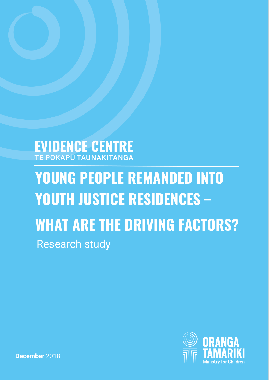## **EVIDENCE CENTRE** TE POKAPŪ TAUNAKITANGA

# **YOUNG PEOPLE REMANDED INTO YOUTH JUSTICE RESIDENCES – WHAT ARE THE DRIVING FACTORS?**  Research study

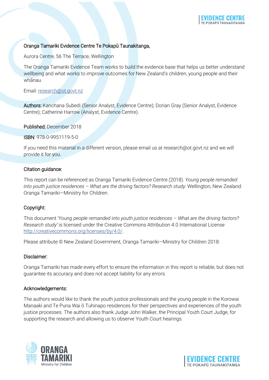## Oranga Tamariki Evidence Centre Te Pokapū Taunakitanga,

Aurora Centre, 56 The Terrace, Wellington

The Oranga Tamariki Evidence Team works to build the evidence base that helps us better understand wellbeing and what works to improve outcomes for New Zealand's children, young people and their whānau.

#### Email: [research@ot.govt.nz](mailto:research@ot.govt.nz)

Authors: Kanchana Subedi (Senior Analyst, Evidence Centre); Dorian Gray (Senior Analyst, Evidence Centre); Catherine Harrow (Analyst, Evidence Centre).

Published: December 2018

ISBN: 978-0-9951119-5-0

If you need this material in a different version, please email us at research@ot.govt.nz and we will provide it for you.

#### Citation guidance:

This report can be referenced as Oranga Tamariki Evidence Centre (2018). *Young people remanded into youth justice residences – What are the driving factors? Research study:* Wellington, New Zealand: Oranga Tamariki—Ministry for Children.

## Copyright:

This document '*Young people remanded into youth justice residences – What are the driving factors? Research study'* is licensed under the Creative Commons Attribution 4.0 International License [http://creativecommons.org/licenses/by/4.0/.](http://creativecommons.org/licenses/by/4.0/)

Please attribute © New Zealand Government, Oranga Tamariki—Ministry for Children 2018.

#### Disclaimer:

Oranga Tamariki has made every effort to ensure the information in this report is reliable, but does not guarantee its accuracy and does not accept liability for any errors.

#### Acknowledgements:

The authors would like to thank the youth justice professionals and the young people in the Korowai Manaaki and Te Puna Wai ō Tuhinapo residences for their perspectives and experiences of the youth justice processes. The authors also thank Judge John Walker, the Principal Youth Court Judge, for supporting the research and allowing us to observe Youth Court hearings.



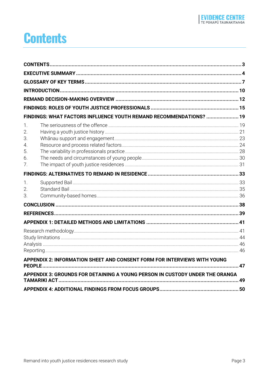## <span id="page-2-0"></span>**Contents**

|                                                                  | FINDINGS: WHAT FACTORS INFLUENCE YOUTH REMAND RECOMMENDATIONS?  19           |  |
|------------------------------------------------------------------|------------------------------------------------------------------------------|--|
| $\mathbf{1}$ .<br>$\overline{2}$ .<br>3.<br>4.<br>5.<br>6.<br>7. |                                                                              |  |
|                                                                  |                                                                              |  |
| 1.<br>2.<br>3.                                                   |                                                                              |  |
|                                                                  |                                                                              |  |
|                                                                  |                                                                              |  |
|                                                                  |                                                                              |  |
|                                                                  |                                                                              |  |
|                                                                  |                                                                              |  |
|                                                                  | APPENDIX 2: INFORMATION SHEET AND CONSENT FORM FOR INTERVIEWS WITH YOUNG     |  |
|                                                                  | APPENDIX 3: GROUNDS FOR DETAINING A YOUNG PERSON IN CUSTODY UNDER THE ORANGA |  |
|                                                                  |                                                                              |  |
|                                                                  |                                                                              |  |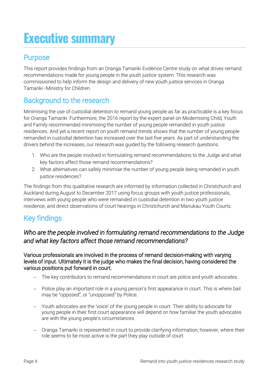## <span id="page-3-0"></span>**Executive summary**

## **Purpose**

This report provides findings from an Oranga Tamariki Evidence Centre study on what drives remand recommendations made for young people in the youth justice system. This research was commissioned to help inform the design and delivery of new youth justice services in Oranga Tamariki–Ministry for Children.

## Background to the research

Minimising the use of custodial detention to remand young people as far as practicable is a key focus for Oranga Tamariki. Furthermore, the 2016 report by the expert panel on Modernising Child, Youth and Family recommended minimising the number of young people remanded in youth justice residences. And yet a recent report on youth remand trends shows that the number of young people remanded in custodial detention has increased over the last five years. As part of understanding the drivers behind the increases, our research was guided by the following research questions.

- 1. Who are the people involved in formulating remand recommendations to the Judge and what key factors affect those remand recommendations?
- 2. What alternatives can safely minimise the number of young people being remanded in youth justice residences?

The findings from this qualitative research are informed by information collected in Christchurch and Auckland during August to December 2017 using focus groups with youth justice professionals, interviews with young people who were remanded in custodial detention in two youth justice residence, and direct observations of court hearings in Christchurch and Manukau Youth Courts.

## Key findings

## *Who are the people involved in formulating remand recommendations to the Judge and what key factors affect those remand recommendations?*

Various professionals are involved in the process of remand decision-making with varying levels of input. Ultimately it is the judge who makes the final decision, having considered the various positions put forward in court.

- The key contributors to remand recommendations in court are police and youth advocates.
- Police play an important role in a young person's first appearance in court. This is where bail may be "opposed", or "unopposed" by Police.
- Youth advocates are the 'voice' of the young people in court. Their ability to advocate for young people in their first court appearance will depend on how familiar the youth advocates are with the young people's circumstances.
- Oranga Tamariki is represented in court to provide clarifying information; however, where their role seems to be most active is the part they play outside of court.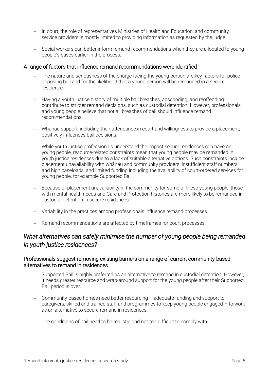- In court, the role of representatives Ministries of Health and Education, and community service providers is mostly limited to providing information as requested by the judge.
- Social workers can better inform remand recommendations when they are allocated to young people's cases earlier in the process.

### A range of factors that influence remand recommendations were identified

- The nature and seriousness of the charge facing the young person are key factors for police opposing bail and for the likelihood that a young person will be remanded in a secure residence.
- Having a youth justice history of multiple bail breaches, absconding, and reoffending contribute to stricter remand decisions, such as custodial detention. However, professionals and young people believe that not all breaches of bail should influence remand recommendations.
- Whānau support, including their attendance in court and willingness to provide a placement, positively influences bail decisions.
- While youth justice professionals understand the impact secure residences can have on young people, resource-related constraints mean that young people may be remanded in youth justice residences due to a lack of suitable alternative options. Such constraints include placement unavailability with whānau and community providers, insufficient staff numbers and high caseloads, and limited funding including the availability of court-ordered services for young people, for example Supported Bail.
- Because of placement unavailability in the community for some of these young people, those with mental health needs and Care and Protection histories are more likely to be remanded in custodial detention in secure residences.
- Variability in the practices among professionals influence remand processes.
- Remand recommendations are affected by timeframes for court processes.

## *What alternatives can safely minimise the number of young people being remanded in youth justice residences?*

### Professionals suggest removing existing barriers on a range of current community-based alternatives to remand in residences

- Supported Bail is highly preferred as an alternative to remand in custodial detention. However, it needs greater resource and wrap-around support for the young people after their Supported Bail period is over.
- Community-based homes need better resourcing adequate funding and support to caregivers, skilled and trained staff and programmes to keep young people engaged  $-$  to work as an alternative to secure remand in residences.
- The conditions of bail need to be realistic and not too difficult to comply with.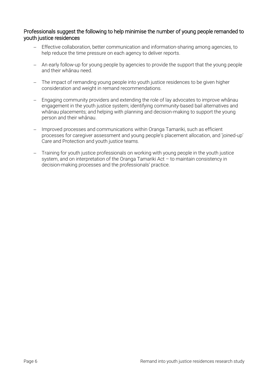### Professionals suggest the following to help minimise the number of young people remanded to youth justice residences

- Effective collaboration, better communication and information-sharing among agencies, to help reduce the time pressure on each agency to deliver reports.
- An early follow-up for young people by agencies to provide the support that the young people and their whānau need.
- The impact of remanding young people into youth justice residences to be given higher consideration and weight in remand recommendations.
- Engaging community providers and extending the role of lay advocates to improve whānau engagement in the youth justice system; identifying community-based bail alternatives and whānau placements; and helping with planning and decision-making to support the young person and their whānau.
- Improved processes and communications within Oranga Tamariki, such as efficient processes for caregiver assessment and young people's placement allocation, and 'joined-up' Care and Protection and youth justice teams.
- Training for youth justice professionals on working with young people in the youth justice system, and on interpretation of the Oranga Tamariki Act – to maintain consistency in decision-making processes and the professionals' practice.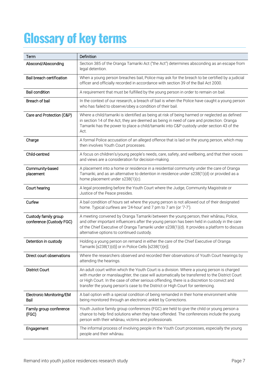# <span id="page-6-0"></span>**Glossary of key terms**

| Term                                             | <b>Definition</b>                                                                                                                                                                                                                                                                                                                                                            |
|--------------------------------------------------|------------------------------------------------------------------------------------------------------------------------------------------------------------------------------------------------------------------------------------------------------------------------------------------------------------------------------------------------------------------------------|
| Abscond/Absconding                               | Section 385 of the Oranga Tamariki Act ("the Act") determines absconding as an escape from<br>legal detention.                                                                                                                                                                                                                                                               |
| Bail breach certification                        | When a young person breaches bail, Police may ask for the breach to be certified by a judicial<br>officer and officially recorded in accordance with section 39 of the Bail Act 2000.                                                                                                                                                                                        |
| <b>Bail condition</b>                            | A requirement that must be fulfilled by the young person in order to remain on bail.                                                                                                                                                                                                                                                                                         |
| Breach of bail                                   | In the context of our research, a breach of bail is when the Police have caught a young person<br>who has failed to observe/obey a condition of their bail.                                                                                                                                                                                                                  |
| Care and Protection (C&P)                        | Where a child/tamariki is identified as being at risk of being harmed or neglected as defined<br>in section 14 of the Act, they are deemed as being in need of care and protection. Oranga<br>Tamariki has the power to place a child/tamariki into C&P custody under section 43 of the<br>Act.                                                                              |
| Charge                                           | A formal Police accusation of an alleged offence that is laid on the young person, which may<br>then involves Youth Court processes.                                                                                                                                                                                                                                         |
| Child-centred                                    | A focus on children's/young people's needs, care, safety, and wellbeing, and that their voices<br>and views are a consideration for decision-making.                                                                                                                                                                                                                         |
| Community-based<br>placement                     | A placement into a home or residence in a residential community under the care of Oranga<br>Tamariki, and as an alternative to detention in residence under s238(1)(d) or provided as a<br>home placement under s238(1)(c).                                                                                                                                                  |
| Court hearing                                    | A legal proceeding before the Youth Court where the Judge, Community Magistrate or<br>Justice of the Peace presides.                                                                                                                                                                                                                                                         |
| Curfew                                           | A bail condition of hours set where the young person is not allowed out of their designated<br>home. Typical curfews are '24-hour' and 7 pm to 7 am (or '7-7').                                                                                                                                                                                                              |
| Custody family group<br>conference (Custody FGC) | A meeting convened by Oranga Tamariki between the young person, their whanau, Police,<br>and other important influencers after the young person has been held in custody in the care<br>of the Chief Executive of Oranga Tamariki under s238(1)(d). It provides a platform to discuss<br>alternative options to continued custody.                                           |
| Detention in custody                             | Holding a young person on remand in either the care of the Chief Executive of Oranga<br>Tamariki [s238(1)(d)] or in Police Cells [s238(1)(e)].                                                                                                                                                                                                                               |
| Direct court observations                        | Where the researchers observed and recorded their observations of Youth Court hearings by<br>attending the hearings.                                                                                                                                                                                                                                                         |
| <b>District Court</b>                            | An adult court within which the Youth Court is a division. Where a young person is charged<br>with murder or manslaughter, the case will automatically be transferred to the District Court<br>or High Court. In the case of other serious offending, there is a discretion to convict and<br>transfer the young person's case to the District or High Court for sentencing. |
| Electronic Monitoring/EM<br>Bail                 | A bail option with a special condition of being remanded in their home environment while<br>being monitored through an electronic anklet by Corrections.                                                                                                                                                                                                                     |
| Family group conference<br>(FGC)                 | Youth Justice family group conferences (FGC) are held to give the child or young person a<br>chance to help find solutions when they have offended. The conferences include the young<br>person with their whanau, victims and professionals.                                                                                                                                |
| Engagement                                       | The informal process of involving people in the Youth Court processes, especially the young<br>people and their whanau.                                                                                                                                                                                                                                                      |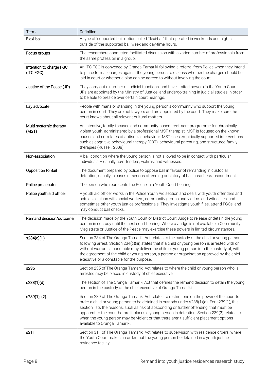| Term                                 | Definition                                                                                                                                                                                                                                                                                                                                                                                                                                                                                                         |  |  |
|--------------------------------------|--------------------------------------------------------------------------------------------------------------------------------------------------------------------------------------------------------------------------------------------------------------------------------------------------------------------------------------------------------------------------------------------------------------------------------------------------------------------------------------------------------------------|--|--|
| Flexi-bail                           | A type of 'supported bail' option called 'flexi-bail' that operated in weekends and nights<br>outside of the supported bail week and day-time hours.                                                                                                                                                                                                                                                                                                                                                               |  |  |
| Focus groups                         | The researchers conducted facilitated discussion with a varied number of professionals from<br>the same profession in a group.                                                                                                                                                                                                                                                                                                                                                                                     |  |  |
| Intention to charge FGC<br>(ITC FGC) | An ITC FGC is convened by Oranga Tamariki following a referral from Police when they intend<br>to place formal charges against the young person to discuss whether the charges should be<br>laid in court or whether a plan can be agreed to without involving the court.                                                                                                                                                                                                                                          |  |  |
| Justice of the Peace (JP)            | They carry out a number of judicial functions, and have limited powers in the Youth Court.<br>JPs are appointed by the Ministry of Justice, and undergo training in judicial studies in order<br>to be able to preside over certain court hearings.                                                                                                                                                                                                                                                                |  |  |
| Lay advocate                         | People with mana or standing in the young person's community who support the young<br>person in court. They are not lawyers and are appointed by the court. They make sure the<br>court knows about all relevant cultural matters.                                                                                                                                                                                                                                                                                 |  |  |
| Multi-systemic therapy<br>(MST)      | An intensive, family-focused and community-based treatment programme for chronically<br>violent youth, administered by a professional MST therapist. MST is focused on the known<br>causes and correlates of antisocial behaviour. MST uses empirically supported interventions<br>such as cognitive behavioural therapy (CBT), behavioural parenting, and structured family<br>therapies (Russell, 2008).                                                                                                         |  |  |
| Non-association                      | A bail condition where the young person is not allowed to be in contact with particular<br>individuals - usually co-offenders, victims, and witnesses.                                                                                                                                                                                                                                                                                                                                                             |  |  |
| Opposition to Bail                   | The document prepared by police to oppose bail in favour of remanding in custodial<br>detention, usually in cases of serious offending or history of bail breaches/abscondment.                                                                                                                                                                                                                                                                                                                                    |  |  |
| Police prosecutor                    | The person who represents the Police in a Youth Court hearing.                                                                                                                                                                                                                                                                                                                                                                                                                                                     |  |  |
| Police youth aid officer             | A youth aid officer works in the Police Youth Aid section and deals with youth offenders and<br>acts as a liaison with social workers, community groups and victims and witnesses, and<br>sometimes other youth justice professionals. They investigate youth files, attend FGCs, and<br>may conduct bail checks.                                                                                                                                                                                                  |  |  |
| Remand decision/outcome              | The decision made by the Youth Court or District Court Judge to release or detain the young<br>person in custody until the next court hearing. Where a Judge is not available a Community<br>Magistrate or Justice of the Peace may exercise these powers in limited circumstances.                                                                                                                                                                                                                                |  |  |
| s234(c)(iii)                         | Section 234 of The Oranga Tamariki Act relates to the custody of the child or young person<br>following arrest. Section 234(c)(iii) states that if a child or young person is arrested with or<br>without warrant, a constable may deliver the child or young person into the custody of, with<br>the agreement of the child or young person, a person or organisation approved by the chief<br>executive or a constable for the purpose.                                                                          |  |  |
| s235                                 | Section 235 of The Oranga Tamariki Act relates to where the child or young person who is<br>arrested may be placed in custody of chief executive.                                                                                                                                                                                                                                                                                                                                                                  |  |  |
| s238(1)(d)                           | The section of The Oranga Tamariki Act that defines the remand decision to detain the young<br>person in the custody of the chief executive of Oranga Tamariki.                                                                                                                                                                                                                                                                                                                                                    |  |  |
| s239(1), (2)                         | Section 239 of The Oranga Tamariki Act relates to restrictions on the power of the court to<br>order a child or young person to be detained in custody under s238(1)(d). For s239(1), this<br>section lists the reasons, such as risk of absconding or further offending, that must be<br>apparent to the court before it places a young person in detention. Section 239(2) relates to<br>when the young person may be violent or that there aren't sufficient placement options<br>available to Oranga Tamariki. |  |  |
| s311                                 | Section 311 of The Oranga Tamariki Act relates to supervision with residence orders, where<br>the Youth Court makes an order that the young person be detained in a youth justice<br>residence facility.                                                                                                                                                                                                                                                                                                           |  |  |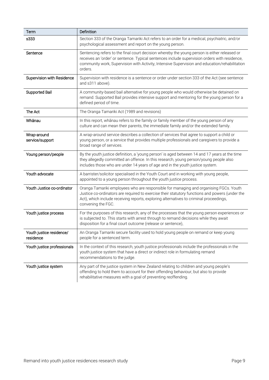| Term                                  | Definition                                                                                                                                                                                                                                                                                                |
|---------------------------------------|-----------------------------------------------------------------------------------------------------------------------------------------------------------------------------------------------------------------------------------------------------------------------------------------------------------|
| s333                                  | Section 333 of the Oranga Tamariki Act refers to an order for a medical, psychiatric, and/or<br>psychological assessment and report on the young person.                                                                                                                                                  |
| Sentence                              | Sentencing refers to the final court decision whereby the young person is either released or<br>receives an 'order' or sentence. Typical sentences include supervision orders with residence,<br>community work, Supervision with Activity, Intensive Supervision and education/rehabilitation<br>orders. |
| Supervision with Residence            | Supervision with residence is a sentence or order under section 333 of the Act (see sentence<br>and s311 above).                                                                                                                                                                                          |
| Supported Bail                        | A community-based bail alternative for young people who would otherwise be detained on<br>remand. Supported Bail provides intensive support and mentoring for the young person for a<br>defined period of time.                                                                                           |
| The Act                               | The Oranga Tamariki Act (1989 and revisions)                                                                                                                                                                                                                                                              |
| Whanau                                | In this report, whanau refers to the family or family member of the young person of any<br>culture and can mean their parents, the immediate family and/or the extended family.                                                                                                                           |
| Wrap-around<br>service/support        | A wrap-around service describes a collection of services that agree to support a child or<br>young person, or a service that provides multiple professionals and caregivers to provide a<br>broad range of services.                                                                                      |
| Young person/people                   | By the youth justice definition, a 'young person' is aged between 14 and 17 years at the time<br>they allegedly committed an offence. In this research, young person/young people also<br>includes those who are under 14 years of age and in the youth justice system.                                   |
| Youth advocate                        | A barrister/solicitor specialised in the Youth Court and in working with young people,<br>appointed to a young person throughout the youth justice process.                                                                                                                                               |
| Youth Justice co-ordinator            | Oranga Tamariki employees who are responsible for managing and organising FGCs. Youth<br>Justice co-ordinators are required to exercise their statutory functions and powers (under the<br>Act), which include receiving reports, exploring alternatives to criminal proceedings,<br>convening the FGC.   |
| Youth justice process                 | For the purposes of this research, any of the processes that the young person experiences or<br>is subjected to. This starts with arrest through to remand decisions while they await<br>disposition for a final court outcome (release or sentence).                                                     |
| Youth justice residence/<br>residence | An Oranga Tamariki secure facility used to hold young people on remand or keep young<br>people for a sentenced term.                                                                                                                                                                                      |
| Youth justice professionals           | In the context of this research, youth justice professionals include the professionals in the<br>youth justice system that have a direct or indirect role in formulating remand<br>recommendations to the judge.                                                                                          |
| Youth justice system                  | Any part of the justice system in New Zealand relating to children and young people's<br>offending to hold them to account for their offending behaviour, but also to provide<br>rehabilitative measures with a goal of preventing reoffending.                                                           |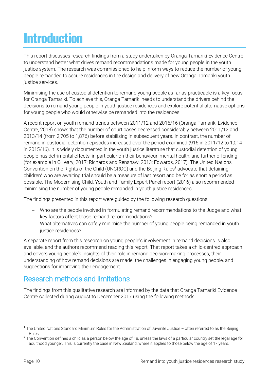# <span id="page-9-0"></span>**Introduction**

This report discusses research findings from a study undertaken by Oranga Tamariki Evidence Centre to understand better what drives remand recommendations made for young people in the youth justice system. The research was commissioned to help inform ways to reduce the number of young people remanded to secure residences in the design and delivery of new Oranga Tamariki youth justice services.

Minimising the use of custodial detention to remand young people as far as practicable is a key focus for Oranga Tamariki. To achieve this, Oranga Tamariki needs to understand the drivers behind the decisions to remand young people in youth justice residences and explore potential alternative options for young people who would otherwise be remanded into the residences.

A recent report on youth remand trends between 2011/12 and 2015/16 (Oranga Tamariki Evidence Centre, 2018) shows that the number of court cases decreased considerably between 2011/12 and 2013/14 (from 2,705 to 1,876) before stabilising in subsequent years. In contrast, the number of remand in custodial detention episodes increased over the period examined (916 in 2011/12 to 1,014 in 2015/16). It is widely documented in the youth justice literature that custodial detention of young people has detrimental effects, in particular on their behaviour, mental health, and further offending (for example in O'Leary, 2017; Richards and Renshaw, 2013; Edwards, 2017). The United Nations Convention on the Rights of the Child (UNCROC) and the Beijing Rules<sup>1</sup> advocate that detaining children<sup>2</sup> who are awaiting trial should be a measure of last resort and be for as short a period as possible. The Modernising Child, Youth and Family Expert Panel report (2016) also recommended minimising the number of young people remanded in youth justice residences.

The findings presented in this report were guided by the following research questions:

- Who are the people involved in formulating remand recommendations to the Judge and what key factors affect those remand recommendations?
- What alternatives can safely minimise the number of young people being remanded in youth justice residences?

A separate report from this research on young people's involvement in remand decisions is also available, and the authors recommend reading this report. That report takes a child-centred approach and covers young people's insights of their role in remand decision-making processes, their understanding of how remand decisions are made; the challenges in engaging young people, and suggestions for improving their engagement.

## Research methods and limitations

The findings from this qualitative research are informed by the data that Oranga Tamariki Evidence Centre collected during August to December 2017 using the following methods:

<sup>&</sup>lt;sup>1</sup> The United Nations Standard Minimum Rules for the Administration of Juvenile Justice - often referred to as the Beijing Rules.

 $^{\rm 2}$  The Convention defines a child as a person below the age of 18, unless the laws of a particular country set the legal age for adulthood younger. This is currently the case in New Zealand, where it applies to those below the age of 17 years.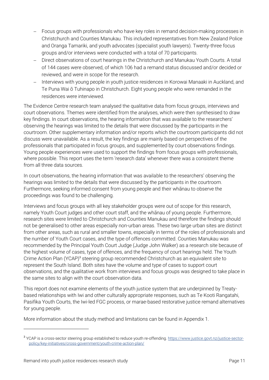- Focus groups with professionals who have key roles in remand decision-making processes in Christchurch and Counties Manukau. This included representatives from New Zealand Police and Oranga Tamariki, and youth advocates (specialist youth lawyers). Twenty-three focus groups and/or interviews were conducted with a total of 70 participants.
- Direct observations of court hearings in the Christchurch and Manukau Youth Courts. A total of 144 cases were observed, of which 106 had a remand status discussed and/or decided or reviewed, and were in scope for the research.
- Interviews with young people in youth justice residences in Korowai Manaaki in Auckland, and Te Puna Wai ō Tuhinapo in Christchurch. Eight young people who were remanded in the residences were interviewed.

The Evidence Centre research team analysed the qualitative data from focus groups, interviews and court observations. Themes were identified from the analyses, which were then synthesised to draw key findings. In court observations, the hearing information that was available to the researchers' observing the hearings was limited to the details that were discussed by the participants in the courtroom. Other supplementary information and/or reports which the courtroom participants did not discuss were unavailable. As a result, the key findings are mainly based on perspectives of the professionals that participated in focus groups, and supplemented by court observations findings. Young people experiences were used to support the findings from focus groups with professionals, where possible. This report uses the term 'research data' whenever there was a consistent theme from all three data sources.

In court observations, the hearing information that was available to the researchers' observing the hearings was limited to the details that were discussed by the participants in the courtroom. Furthermore, seeking informed consent from young people and their whānau to observe the proceedings was found to be challenging.

Interviews and focus groups with all key stakeholder groups were out of scope for this research, namely Youth Court judges and other court staff, and the whānau of young people. Furthermore, research sites were limited to Christchurch and Counties Manukau and therefore the findings should not be generalised to other areas especially non-urban areas. These two large urban sites are distinct from other areas, such as rural and smaller towns, especially in terms of the roles of professionals and the number of Youth Court cases, and the type of offences committed. Counties Manukau was recommended by the Principal Youth Court Judge (Judge John Walker) as a research site because of the highest volume of cases, type of offences, and the frequency of court hearings held. The Youth Crime Action Plan (YCAP)<sup>3</sup> steering group recommended Christchurch as an equivalent site to represent the South Island. Both sites have the volume and type of cases to support court observations, and the qualitative work from interviews and focus groups was designed to take place in the same sites to align with the court observation data.

This report does not examine elements of the youth justice system that are underpinned by Treatybased relationships with Iwi and other culturally appropriate responses, such as Te Kooti Rangatahi, Pasifika Youth Courts, the Iwi-led FGC process, or marae-based restorative justice remand alternatives for young people.

More information about the study method and limitations can be found in Appendix 1.

-

<sup>&</sup>lt;sup>3</sup> YCAP is a cross-sector steering group established to reduce youth re-offending. <u>https://www.justice.govt.nz/justice-sector-</u> [policy/key-initiatives/cross-government/youth-crime-action-plan/](https://www.justice.govt.nz/justice-sector-policy/key-initiatives/cross-government/youth-crime-action-plan/)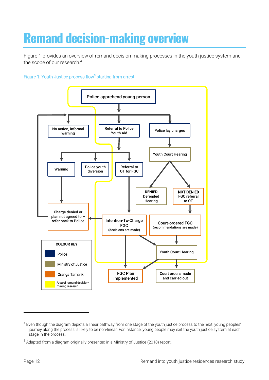# <span id="page-11-0"></span>**Remand decision-making overview**

Figure 1 provides an overview of remand decision-making processes in the youth justice system and the scope of our research.<sup>4</sup>

### Figure 1: Youth Justice process flow<sup>5</sup> starting from arrest



 $\overline{a}$ 

<sup>&</sup>lt;sup>4</sup> Even though the diagram depicts a linear pathway from one stage of the youth justice process to the next, young peoples' journey along the process is likely to be non-linear. For instance, young people may exit the youth justice system at each stage in the process.

<sup>&</sup>lt;sup>5</sup> Adapted from a diagram originally presented in a Ministry of Justice (2018) report.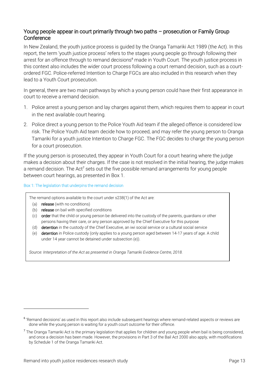## Young people appear in court primarily through two paths – prosecution or Family Group **Conference**

In New Zealand, the youth justice process is guided by the Oranga Tamariki Act 1989 (the Act). In this report, the term 'youth justice process' refers to the stages young people go through following their arrest for an offence through to remand decisions<sup>6</sup> made in Youth Court. The youth justice process in this context also includes the wider court process following a court remand decision, such as a courtordered FGC. Police-referred Intention to Charge FGCs are also included in this research when they lead to a Youth Court prosecution.

In general, there are two main pathways by which a young person could have their first appearance in court to receive a remand decision.

- 1. Police arrest a young person and lay charges against them, which requires them to appear in court in the next available court hearing.
- 2. Police direct a young person to the Police Youth Aid team if the alleged offence is considered low risk. The Police Youth Aid team decide how to proceed, and may refer the young person to Oranga Tamariki for a youth justice Intention to Charge FGC. The FGC decides to charge the young person for a court prosecution.

If the young person is prosecuted, they appear in Youth Court for a court hearing where the judge makes a decision about their charges. If the case is not resolved in the initial hearing, the judge makes a remand decision. The Act<sup>7</sup> sets out the five possible remand arrangements for young people between court hearings, as presented in [Box 1.](#page-12-0)

<span id="page-12-0"></span>Box 1: The legislation that underpins the remand decision

The remand options available to the court under s238(1) of the Act are:

(a) release (with no conditions)

-

- (b) release on bail with specified conditions
- (c) order that the child or young person be delivered into the custody of the parents, guardians or other persons having their care, or any person approved by the Chief Executive for this purpose
- (d) detention in the custody of the Chief Executive, an iwi social service or a cultural social service
- (e) detention in Police custody (only applies to a young person aged between 14-17 years of age. A child under 14 year cannot be detained under subsection (e)).

*Source: Interpretation of the Act as presented in Oranga Tamariki Evidence Centre, 2018.*

<sup>&</sup>lt;sup>6</sup> 'Remand decisions' as used in this report also include subsequent hearings where remand-related aspects or reviews are done while the young person is waiting for a youth court outcome for their offence.

<sup>&</sup>lt;sup>7</sup> The Oranga Tamariki Act is the primary legislation that applies for children and young people when bail is being considered, and once a decision has been made. However, the provisions in Part 3 of the Bail Act 2000 also apply, with modifications by Schedule 1 of the Oranga Tamariki Act.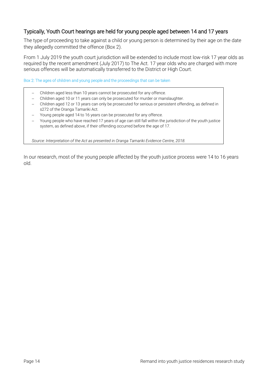## Typically, Youth Court hearings are held for young people aged between 14 and 17 years

The type of proceeding to take against a child or young person is determined by their age on the date they allegedly committed the offence [\(Box 2\)](#page-13-0).

From 1 July 2019 the youth court jurisdiction will be extended to include most low-risk 17 year olds as required by the recent amendment (July 2017) to The Act. 17 year olds who are charged with more serious offences will be automatically transferred to the District or High Court.

<span id="page-13-0"></span>Box 2: The ages of children and young people and the proceedings that can be taken

- Children aged less than 10 years cannot be prosecuted for any offence.
- Children aged 10 or 11 years can only be prosecuted for murder or manslaughter.
- Children aged 12 or 13 years can only be prosecuted for serious or persistent offending, as defined in s272 of the Oranga Tamariki Act.
- Young people aged 14 to 16 years can be prosecuted for any offence.
- Young people who have reached 17 years of age can still fall within the jurisdiction of the youth justice system, as defined above, if their offending occurred before the age of 17.

*Source: Interpretation of the Act as presented in Oranga Tamariki Evidence Centre, 2018.*

In our research, most of the young people affected by the youth justice process were 14 to 16 years old.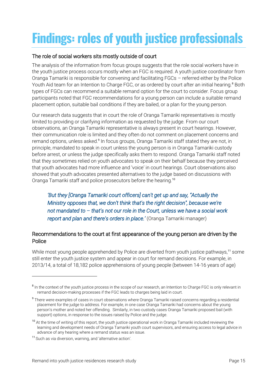# <span id="page-14-0"></span>**Findings: roles of youth justice professionals**

## The role of social workers sits mostly outside of court

The analysis of the information from focus groups suggests that the role social workers have in the youth justice process occurs mostly when an FGC is required. A youth justice coordinator from Oranga Tamariki is responsible for convening and facilitating FGCs – referred either by the Police Youth Aid team for an Intention to Charge FGC, or as ordered by court after an initial hearing.<sup>8</sup> Both types of FGCs can recommend a suitable remand option for the court to consider. Focus group participants noted that FGC recommendations for a young person can include a suitable remand placement option, suitable bail conditions if they are bailed, or a plan for the young person.

Our research data suggests that in court the role of Oranga Tamariki representatives is mostly limited to providing or clarifying information as requested by the judge. From our court observations, an Oranga Tamariki representative is always present in court hearings. However, their communication role is limited and they often do not comment on placement concerns and remand options, unless asked.<sup>9</sup> In focus groups, Oranga Tamariki staff stated they are not, in principle, mandated to speak in court unless the young person is in Oranga Tamariki custody before arrest, or unless the judge specifically asks them to respond. Oranga Tamariki staff noted that they sometimes relied on youth advocates to speak on their behalf because they perceived that youth advocates had more influence and 'voice' in court hearings. Court observations also showed that youth advocates presented alternatives to the judge based on discussions with Oranga Tamariki staff and police prosecutors before the hearing.<sup>10</sup>

## *'But they [Oranga Tamariki court officers] can't get up and say, "Actually the Ministry opposes that, we don't think that's the right decision", because we're not mandated to – that's not our role in the Court, unless we have a social work report and plan and there's orders in place.'* (Oranga Tamariki manager)

## Recommendations to the court at first appearance of the young person are driven by the Police

While most young people apprehended by Police are diverted from youth justice pathways,<sup>11</sup> some still enter the youth justice system and appear in court for remand decisions. For example, in 2013/14, a total of 18,182 police apprehensions of young people (between 14-16 years of age)

 $\overline{a}$ 

<sup>&</sup>lt;sup>8</sup> In the context of the youth justice process in the scope of our research, an Intention to Charge FGC is only relevant in remand decision-making processes if the FGC leads to charges being laid in court.

<sup>&</sup>lt;sup>9</sup> There were examples of cases in court observations where Oranga Tamariki raised concerns regarding a residential placement for the judge to address. For example, in one case Oranga Tamariki had concerns about the young person's mother and noted her offending. Similarly, in two custody cases Oranga Tamariki proposed bail (with support) options, in response to the issues raised by Police and the judge.

<sup>&</sup>lt;sup>10</sup> At the time of writing of this report, the youth justice operational work in Oranga Tamariki included reviewing the learning and development needs of Oranga Tamariki youth court supervisors, and ensuring access to legal advice in advance of any hearing where a remand status was an issue.

<sup>11</sup> Such as via diversion, warning, and 'alternative action'.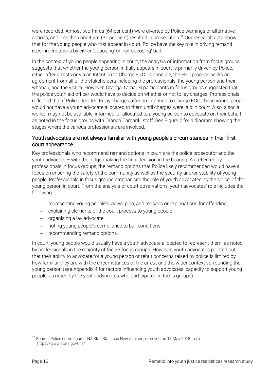were recorded. Almost two-thirds (64 per cent) were diverted by Police warnings or alternative actions, and less than one-third (31 per cent) resulted in prosecution.<sup>12</sup> Our research data show that for the young people who first appear in court, Police have the key role in driving remand recommendations by either 'opposing' or 'not opposing' bail.

In the context of young people appearing in court, the analysis of information from focus groups suggests that whether the young person initially appears in court is primarily driven by Police, either after arrests or via an Intention to Charge FGC. In principle, the FGC process seeks an agreement from all of the stakeholders including the professionals, the young person and their whānau, and the victim. However, Oranga Tamariki participants in focus groups suggested that the police youth aid officer would have to decide on whether or not to lay charges. Professionals reflected that if Police decided to lay charges after an Intention to Charge FGC, those young people would not have a youth advocate allocated to them until charges were laid in court. Also, a social worker may not be available, informed, or allocated to a young person to advocate on their behalf, as noted in the focus groups with Oranga Tamariki staff. See [Figure 2](#page-16-0) for a diagram showing the stages where the various professionals are involved.

## Youth advocates are not always familiar with young people's circumstances in their first court appearance

Key professionals who recommend remand options in court are the police prosecutor and the youth advocate – with the judge making the final decision in the hearing. As reflected by professionals in focus groups, the remand options that Police likely recommended would have a focus on ensuring the safety of the community as well as the security and/or stability of young people. Professionals in focus groups emphasised the role of youth advocates as the 'voice' of the young person in court. From the analysis of court observations, youth advocates' role includes the following:

- representing young people's views, plea, and reasons or explanations for offending
- explaining elements of the court process to young people
- organising a lay advocate
- noting young people's compliance to bail conditions
- recommending remand options.

In court, young people would usually have a youth advocate allocated to represent them, as noted by professionals in the majority of the 23 focus groups. However, youth advocates pointed out that their ability to advocate for a young person or rebut concerns raised by police is limited by how familiar they are with the circumstances of the arrest and the wider context surrounding the young person (see Appendix 4 for factors influencing youth advocates' capacity to support young people, as noted by the youth advocates who participated in focus groups).

 $\overline{\phantom{a}}$ 

<sup>&</sup>lt;sup>12</sup> Source: Police crime figures, NZ. Stat, Statistics New Zealand, retrieved on 13 May 2018 from <https://www.stats.govt.nz/>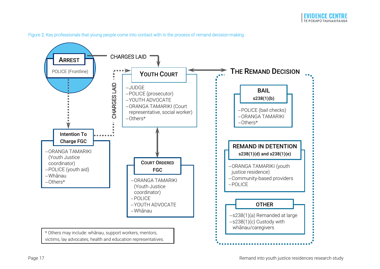

<span id="page-16-0"></span>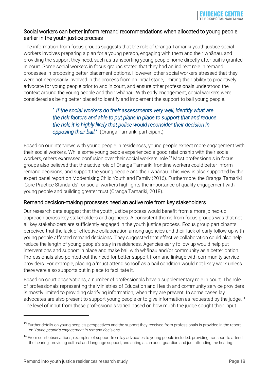## Social workers can better inform remand recommendations when allocated to young people earlier in the youth justice process

The information from focus groups suggests that the role of Oranga Tamariki youth justice social workers involves preparing a plan for a young person, engaging with them and their whānau, and providing the support they need, such as transporting young people home directly after bail is granted in court. Some social workers in focus groups stated that they had an indirect role in remand processes in proposing better placement options. However, other social workers stressed that they were not necessarily involved in the process from an initial stage, limiting their ability to proactively advocate for young people prior to and in court, and ensure other professionals understood the context around the young people and their whānau. With early engagement, social workers were considered as being better placed to identify and implement the support to bail young people.

## *'..If the social workers do their assessments very well, identify what are the risk factors and able to put plans in place to support that and reduce the risk, it is highly likely that police would reconsider their decision in opposing their bail.'* (Oranga Tamariki participant)

Based on our interviews with young people in residences, young people expect more engagement with their social workers. While some young people experienced a good relationship with their social workers, others expressed confusion over their social workers' role.<sup>13</sup> Most professionals in focus groups also believed that the active role of Oranga Tamariki frontline workers could better inform remand decisions, and support the young people and their whānau. This view is also supported by the expert panel report on Modernising Child Youth and Family (2016). Furthermore, the Oranga Tamariki 'Core Practice Standards' for social workers highlights the importance of quality engagement with young people and building greater trust (Oranga Tamariki, 2018).

## Remand decision-making processes need an active role from key stakeholders

Our research data suggest that the youth justice process would benefit from a more joined-up approach across key stakeholders and agencies. A consistent theme from focus groups was that not all key stakeholders are sufficiently engaged in the youth justice process. Focus group participants perceived that the lack of effective collaboration among agencies and their lack of early follow-up with young people affected remand decisions. They suggested that effective collaboration could also help reduce the length of young people's stay in residences. Agencies early follow up would help put interventions and support in place and make bail with whānau and/or community as a better option. Professionals also pointed out the need for better support from and linkage with community service providers. For example, placing a 'must attend school' as a bail condition would not likely work unless there were also supports put in place to facilitate it.

Based on court observations, a number of professionals have a supplementary role in court. The role of professionals representing the Ministries of Education and Health and community service providers is mostly limited to providing clarifying information, when they are present. In some cases lay advocates are also present to support young people or to give information as requested by the judge.<sup>14</sup> The level of input from these professionals varied based on how much the judge sought their input.

 $\overline{a}$ 

<sup>&</sup>lt;sup>13</sup> Further details on young people's perspectives and the support they received from professionals is provided in the report on *Young people's engagement in remand decisions*.

<sup>&</sup>lt;sup>14</sup> From court observations, examples of support from lay advocates to young people included: providing transport to attend the hearing; providing cultural and language support; and acting as an adult guardian and just attending the hearing.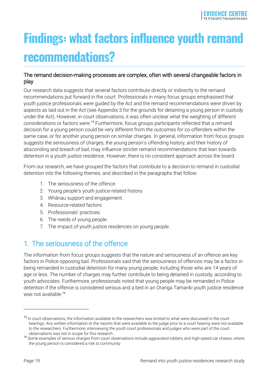# <span id="page-18-0"></span>**Findings: what factors influence youth remand recommendations?**

## The remand decision-making processes are complex, often with several changeable factors in play

Our research data suggests that several factors contribute directly or indirectly to the remand recommendations put forward in the court. Professionals in many focus groups emphasised that youth justice professionals were guided by the Act and the remand recommendations were driven by aspects as laid out in the Act (see Appendix 3 for the grounds for detaining a young person in custody under the Act). However, in court observations, it was often unclear what the weighting of different considerations or factors were.<sup>15</sup> Furthermore, focus groups participants reflected that a remand decision for a young person could be very different from the outcomes for co-offenders within the same case, or for another young person on similar charges. In general, information from focus groups suggests the seriousness of charges, the young person's offending history, and their history of absconding and breach of bail, may influence stricter remand recommendations that lean towards detention in a youth justice residence. However, there is no consistent approach across the board.

From our research, we have grouped the factors that contribute to a decision to remand in custodial detention into the following themes, and described in the paragraphs that follow.

- 1. The seriousness of the offence.
- 2. Young people's youth justice-related history.
- 3. Whānau support and engagement.
- 4. Resource-related factors.
- 5. Professionals' practices.
- 6. The needs of young people.
- 7. The impact of youth justice residences on young people.

## <span id="page-18-1"></span>1. The seriousness of the offence

The information from focus groups suggests that the nature and seriousness of an offence are key factors in Police opposing bail. Professionals said that the seriousness of offences may be a factor in being remanded in custodial detention for many young people, including those who are 14 years of age or less. The number of charges may further contribute to being detained in custody, according to youth advocates. Furthermore, professionals noted that young people may be remanded in Police detention if the offence is considered serious and a bed in an Oranga Tamariki youth justice residence was not available.<sup>16</sup>

<sup>&</sup>lt;sup>15</sup> In court observations, the information available to the researchers was limited to what were discussed in the court hearings. Any written information or the reports that were available to the judge prior to a court hearing were not available to the researchers. Furthermore, interviewing the youth court professionals and judges who were part of the court observations was not in scope for this research.

<sup>16</sup> Some examples of serious charges from court observations include aggravated robbery and high-speed car chases, where the young person is considered a risk to community.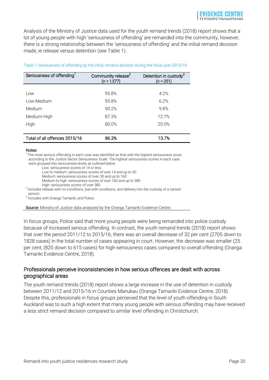Analysis of the Ministry of Justice data used for the youth remand trends (2018) report shows that a lot of young people with high 'seriousness of offending' are remanded into the community, however, there is a strong relationship between the 'seriousness of offending' and the initial remand decision made, ie release versus detention (see Table 1).

| Seriousness of offending <sup>1</sup> | Community release <sup>2</sup><br>$(n = 1,577)$ | Detention in custody <sup>3</sup><br>$(n = 251)$ |  |
|---------------------------------------|-------------------------------------------------|--------------------------------------------------|--|
|                                       |                                                 |                                                  |  |
| Low                                   | 95.8%                                           | 4.2%                                             |  |
| Low-Medium                            | 93.8%                                           | 6.2%                                             |  |
| Medium                                | 90.2%                                           | 9.8%                                             |  |
| Medium-High                           | 87.3%                                           | 12.7%                                            |  |
| High                                  | 80.0%                                           | 20.0%                                            |  |
|                                       |                                                 |                                                  |  |
| Total of all offences 2015/16         | 86.3%                                           | 13.7%                                            |  |

#### Table 1: Seriousness of offending by the initial remand decision during the fiscal year 2015/16

#### Notes:

<sup>1</sup>The most serious offending in each case was identified as that with the highest seriousness score according to the Justice Sector Seriousness Scale. The highest seriousness scores in each case were grouped into seriousness levels as outlined below:

Low: seriousness scores of 14 or less

Low to medium: seriousness scores of over 14 and up to 30

Medium: seriousness scores of over 30 and up to 160

Medium to high: seriousness scores of over 160 and up to 380

High: seriousness scores of over 380.

<sup>2</sup> Includes release with no conditions, bail with conditions, and delivery into the custody of a named person

<sup>3</sup> Includes with Oranga Tamariki, and Police.

Source: Ministry of Justice data analysed by the Oranga Tamariki Evidence Centre.

In focus groups, Police said that more young people were being remanded into police custody because of increased serious offending. In contrast, the youth remand trends (2018) report shows that over the period 2011/12 to 2015/16, there was an overall decrease of 32 per cent (2705 down to 1828 cases) in the total number of cases appearing in court. However, the decrease was smaller (25 per cent, (820 down to 615 cases) for high-seriousness cases compared to overall offending (Oranga Tamariki Evidence Centre, 2018).

### Professionals perceive inconsistencies in how serious offences are dealt with across geographical areas

The youth remand trends (2018) report shows a large increase in the use of detention in custody between 2011/12 and 2015/16 in Counties Manukau (Oranga Tamariki Evidence Centre, 2018). Despite this, professionals in focus groups perceived that the level of youth offending in South Auckland was to such a high extent that many young people with serious offending may have received a less strict remand decision compared to similar level offending in Christchurch.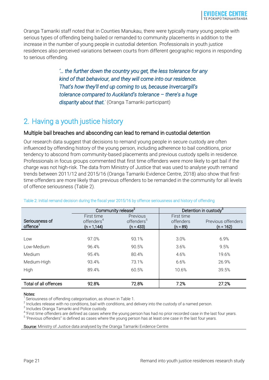Oranga Tamariki staff noted that in Counties Manukau, there were typically many young people with serious types of offending being bailed or remanded to community placements in addition to the increase in the number of young people in custodial detention. Professionals in youth justice residences also perceived variations between courts from different geographic regions in responding to serious offending.

> *'… the further down the country you get, the less tolerance for any kind of that behaviour, and they will come into our residence. That's how they'll end up coming to us, because Invercargill's tolerance compared to Auckland's tolerance – there's a huge disparity about that.*' (Oranga Tamariki participant)

## <span id="page-20-0"></span>2. Having a youth justice history

## Multiple bail breaches and absconding can lead to remand in custodial detention

Our research data suggest that decisions to remand young people in secure custody are often influenced by offending history of the young person, including adherence to bail conditions, prior tendency to abscond from community-based placements and previous custody spells in residence. Professionals in focus groups commented that first time offenders were more likely to get bail if the charge was not high-risk. The data from Ministry of Justice that was used to analyse youth remand trends between 2011/12 and 2015/16 (Oranga Tamariki Evidence Centre, 2018) also show that firsttime offenders are more likely than previous offenders to be remanded in the community for all levels of offence seriousness (Table 2).

|                                        | Community release <sup>2</sup>                         |                                                   | Detention in custody <sup>3</sup>     |                                   |
|----------------------------------------|--------------------------------------------------------|---------------------------------------------------|---------------------------------------|-----------------------------------|
| Seriousness of<br>offence <sup>1</sup> | First time<br>offenders <sup>4</sup><br>$(n = 1, 144)$ | Previous<br>offenders <sup>5</sup><br>$(n = 433)$ | First time<br>offenders<br>$(n = 89)$ | Previous offenders<br>$(n = 162)$ |
|                                        |                                                        |                                                   |                                       |                                   |
| Low                                    | 97.0%                                                  | 93.1%                                             | 3.0%                                  | 6.9%                              |
| Low-Medium                             | 96.4%                                                  | 90.5%                                             | 3.6%                                  | 9.5%                              |
| Medium                                 | 95.4%                                                  | 80.4%                                             | 4.6%                                  | 19.6%                             |
| Medium-High                            | 93.4%                                                  | 73.1%                                             | 6.6%                                  | 26.9%                             |
| High                                   | 89.4%                                                  | 60.5%                                             | 10.6%                                 | 39.5%                             |
|                                        |                                                        |                                                   |                                       |                                   |
| <b>Total of all offences</b>           | 92.8%                                                  | 72.8%                                             | 7.2%                                  | 27.2%                             |

#### Table 2: Initial remand decision during the fiscal year 2015/16 by offence seriousness and history of offending

#### Notes:

1 Seriousness of offending categorisation, as shown in Table 1.

 $^2$  Includes release with no conditions, bail with conditions, and delivery into the custody of a named person.

 $^3$  Includes Oranga Tamariki and Police custody.

<sup>4</sup>'First time offenders are defined as cases where the young person has had no prior recorded case in the last four years.

<sup>5</sup> 'Previous offenders" is defined as cases where the young person has at least one case in the last four years.

Source: Ministry of Justice data analysed by the Oranga Tamariki Evidence Centre.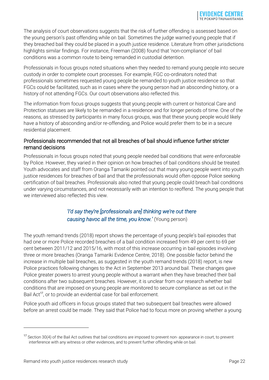The analysis of court observations suggests that the risk of further offending is assessed based on the young person's past offending while on bail. Sometimes the judge warned young people that if they breached bail they could be placed in a youth justice residence. Literature from other jurisdictions highlights similar findings. For instance, Freeman (2008) found that 'non-compliance' of bail conditions was a common route to being remanded in custodial detention.

Professionals in focus groups noted situations when they needed to remand young people into secure custody in order to complete court processes. For example, FGC co-ordinators noted that professionals sometimes requested young people be remanded to youth justice residence so that FGCs could be facilitated, such as in cases where the young person had an absconding history, or a history of not attending FGCs. Our court observations also reflected this.

The information from focus groups suggests that young people with current or historical Care and Protection statuses are likely to be remanded in a residence and for longer periods of time. One of the reasons, as stressed by participants in many focus groups, was that these young people would likely have a history of absconding and/or re-offending, and Police would prefer them to be in a secure residential placement.

## Professionals recommended that not all breaches of bail should influence further stricter remand decisions

Professionals in focus groups noted that young people needed bail conditions that were enforceable by Police. However, they varied in their opinion on how breaches of bail conditions should be treated. Youth advocates and staff from Oranga Tamariki pointed out that many young people went into youth justice residences for breaches of bail and that the professionals would often oppose Police seeking certification of bail breaches. Professionals also noted that young people could breach bail conditions under varying circumstances, and not necessarily with an intention to reoffend. The young people that we interviewed also reflected this view.

## *'I'd say they're [professionals are] thinking we're out there causing havoc all the time, you know.'* (Young person)

The youth remand trends (2018) report shows the percentage of young people's bail episodes that had one or more Police recorded breaches of a bail condition increased from 49 per cent to 69 per cent between 2011/12 and 2015/16, with most of this increase occurring in bail episodes involving three or more breaches (Oranga Tamariki Evidence Centre, 2018). One possible factor behind the increase in multiple bail breaches, as suggested in the youth remand trends (2018) report, is new Police practices following changes to the Act in September 2013 around bail. These changes gave Police greater powers to arrest young people without a warrant when they have breached their bail conditions after two subsequent breaches. However, it is unclear from our research whether bail conditions that are imposed on young people are monitored to secure compliance as set out in the Bail Act<sup>17</sup>, or to provide an evidential case for bail enforcement.

Police youth aid officers in focus groups stated that two subsequent bail breaches were allowed before an arrest could be made. They said that Police had to focus more on proving whether a young

<sup>&</sup>lt;sup>17</sup> Section 30(4) of the Bail Act outlines that bail conditions are imposed to prevent non- appearance in court, to prevent interference with any witness or other evidences, and to prevent further offending while on bail.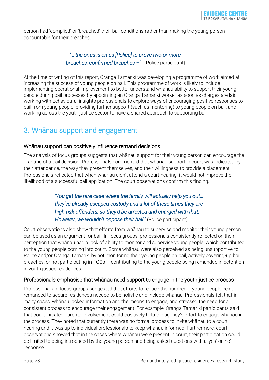person had 'complied' or 'breached' their bail conditions rather than making the young person accountable for their breaches.

## *'… the onus is on us [Police] to prove two or more breaches, confirmed breaches –'* (Police participant)

At the time of writing of this report, Oranga Tamariki was developing a programme of work aimed at increasing the success of young people on bail. This programme of work is likely to include implementing operational improvement to better understand whānau ability to support their young people during bail processes by appointing an Oranga Tamariki worker as soon as charges are laid; working with behavioural insights professionals to explore ways of encouraging positive responses to bail from young people; providing further support (such as mentoring) to young people on bail, and working across the youth justice sector to have a shared approach to supporting bail.

## <span id="page-22-0"></span>3. Whānau support and engagement

## Whānau support can positively influence remand decisions

The analysis of focus groups suggests that whānau support for their young person can encourage the granting of a bail decision. Professionals commented that whānau support in court was indicated by their attendance, the way they present themselves, and their willingness to provide a placement. Professionals reflected that when whānau didn't attend a court hearing, it would not improve the likelihood of a successful bail application. The court observations confirm this finding.

> *'You get the rare case where the family will actually help you out… they've already escaped custody and a lot of these times they are high-risk offenders, so they'd be arrested and charged with that. However, we wouldn't oppose their bail.'* (Police participant)

Court observations also show that efforts from whānau to supervise and monitor their young person can be used as an argument for bail. In focus groups, professionals consistently reflected on their perception that whānau had a lack of ability to monitor and supervise young people, which contributed to the young people coming into court. Some whānau were also perceived as being unsupportive to Police and/or Oranga Tamariki by not monitoring their young people on bail, actively covering-up bail breaches, or not participating in FGCs – contributing to the young people being remanded in detention in youth justice residences.

## Professionals emphasise that whānau need support to engage in the youth justice process

Professionals in focus groups suggested that efforts to reduce the number of young people being remanded to secure residences needed to be holistic and include whānau. Professionals felt that in many cases, whānau lacked information and the means to engage, and stressed the need for a consistent process to encourage their engagement. For example, Oranga Tamariki participants said that court-initiated parental involvement could positively help the agency's effort to engage whānau in the process. They noted that currently there was no formal process to invite whānau to a court hearing and it was up to individual professionals to keep whānau informed. Furthermore, court observations showed that in the cases where whānau were present in court, their participation could be limited to being introduced by the young person and being asked questions with a 'yes' or 'no' response.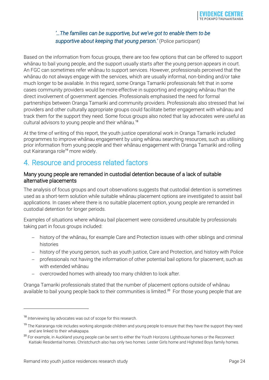## *'…The families can be supportive, but we've got to enable them to be supportive about keeping that young person.'* (Police participant)

Based on the information from focus groups, there are too few options that can be offered to support whānau to bail young people, and the support usually starts after the young person appears in court. An FGC can sometimes refer whānau to support services. However, professionals perceived that the whānau do not always engage with the services, which are usually informal, non-binding and/or take much longer to be available. In this regard, some Oranga Tamariki professionals felt that in some cases community providers would be more effective in supporting and engaging whānau than the direct involvement of government agencies. Professionals emphasised the need for formal partnerships between Oranga Tamariki and community providers. Professionals also stressed that Iwi providers and other culturally appropriate groups could facilitate better engagement with whānau and track them for the support they need. Some focus groups also noted that lay advocates were useful as cultural advisors to young people and their whanau.<sup>18</sup>

At the time of writing of this report, the youth justice operational work in Oranga Tamariki included programmes to improve whānau engagement by using whānau searching resources, such as utilising prior information from young people and their whānau engagement with Oranga Tamariki and rolling out Kairaranga role<sup>19</sup> more widely.

## <span id="page-23-0"></span>4. Resource and process related factors

### Many young people are remanded in custodial detention because of a lack of suitable alternative placements

The analysis of focus groups and court observations suggests that custodial detention is sometimes used as a short-term solution while suitable whānau placement options are investigated to assist bail applications. In cases where there is no suitable placement option, young people are remanded in custodial detention for longer periods.

Examples of situations where whānau bail placement were considered unsuitable by professionals taking part in focus groups included:

- history of the whānau, for example Care and Protection issues with other siblings and criminal histories
- history of the young person, such as youth justice, Care and Protection, and history with Police
- professionals not having the information of other potential bail options for placement, such as with extended whānau
- overcrowded homes with already too many children to look after.

Oranga Tamariki professionals stated that the number of placement options outside of whānau available to bail young people back to their communities is limited.<sup>20</sup> For those young people that are

<sup>&</sup>lt;sup>18</sup> Interviewing lay advocates was out of scope for this research.

The Kairaranga role includes working alongside children and young people to ensure that they have the support they need and are linked to their whakapapa.

<sup>&</sup>lt;sup>20</sup> For example, in Auckland young people can be sent to either the Youth Horizons Lighthouse homes or the Reconnect Kaitiaki Residential homes. Christchurch also has only two homes: Lester Girls home and Highsted Boys family homes.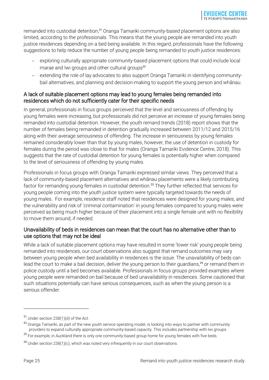remanded into custodial detention,<sup>21</sup> Oranga Tamariki community-based placement options are also limited, according to the professionals. This means that the young people are remanded into youth justice residences depending on a bed being available. In this regard, professionals have the following suggestions to help reduce the number of young people being remanded to youth justice residences:

- exploring culturally appropriate community-based placement options that could include local marae and Iwi groups and other cultural groups<sup>22</sup>
- extending the role of lay advocates to also support Oranga Tamariki in identifying communitybail alternatives, and planning and decision-making to support the young person and whānau.

## A lack of suitable placement options may lead to young females being remanded into residences which do not sufficiently cater for their specific needs

In general, professionals in focus groups perceived that the level and seriousness of offending by young females were increasing, but professionals did not perceive an increase of young females being remanded into custodial detention. However, the youth remand trends (2018) report shows that the number of females being remanded in detention gradually increased between 2011/12 and 2015/16 along with their average seriousness of offending. The increase in seriousness by young females remained considerably lower than that by young males, however, the use of detention in custody for females during the period was close to that for males (Oranga Tamariki Evidence Centre, 2018). This suggests that the rate of custodial detention for young females is potentially higher when compared to the level of seriousness of offending by young males.

Professionals in focus groups with Oranga Tamariki expressed similar views. They perceived that a lack of community-based placement alternatives and whānau placements were a likely contributing factor for remanding young females in custodial detention.<sup>23</sup> They further reflected that services for young people coming into the youth justice system were typically targeted towards the needs of young males. For example, residence staff noted that residences were designed for young males, and the vulnerability and risk of 'criminal contamination' in young females compared to young males were perceived as being much higher because of their placement into a single female unit with no flexibility to move them around, if needed.

## Unavailability of beds in residences can mean that the court has no alternative other than to use options that may not be ideal

While a lack of suitable placement options may have resulted in some 'lower risk' young people being remanded into residences, our court observations also suggest that remand outcomes may vary between young people when bed availability in residences is the issue. The unavailability of beds can lead the court to make a bail decision, deliver the young person to their guardians,<sup>24</sup> or remand them in police custody until a bed becomes available. Professionals in focus groups provided examples where young people were remanded on bail because of bed unavailability in residences. Some cautioned that such situations potentially can have serious consequences, such as when the young person is a serious offender.

<sup>21</sup> Under section 238(1)(d) of the Act.

<sup>&</sup>lt;sup>22</sup> Oranga Tamariki, as part of the new youth service operating model, is looking into ways to partner with community providers to expand culturally appropriate community-based capacity. This includes partnership with Iwi groups.

<sup>&</sup>lt;sup>23</sup> For example, in Auckland there is only one community-based group home for young females with five beds.

 $24$  Under section 238(1)(c), which was noted very infrequently in our court observations.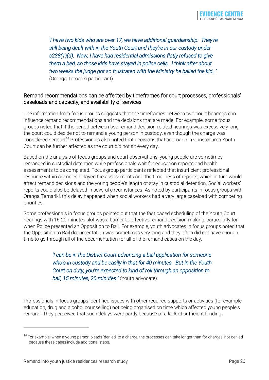*'I have two kids who are over 17, we have additional guardianship. They're still being dealt with in the Youth Court and they're in our custody under s238(1)(d). Now, I have had residential admissions flatly refused to give them a bed, so those kids have stayed in police cells. I think after about two weeks the judge got so frustrated with the Ministry he bailed the kid…'*  (Oranga Tamariki participant)

## Remand recommendations can be affected by timeframes for court processes, professionals' caseloads and capacity, and availability of services

The information from focus groups suggests that the timeframes between two court hearings can influence remand recommendations and the decisions that are made. For example, some focus groups noted that if the period between two remand decision-related hearings was excessively long, the court could decide not to remand a young person in custody, even though the charge was considered serious.<sup>25</sup> Professionals also noted that decisions that are made in Christchurch Youth Court can be further affected as the court did not sit every day.

Based on the analysis of focus groups and court observations, young people are sometimes remanded in custodial detention while professionals wait for education reports and health assessments to be completed. Focus group participants reflected that insufficient professional resource within agencies delayed the assessments and the timeliness of reports, which in turn would affect remand decisions and the young people's length of stay in custodial detention. Social workers' reports could also be delayed in several circumstances. As noted by participants in focus groups with Oranga Tamariki, this delay happened when social workers had a very large caseload with competing priorities.

Some professionals in focus groups pointed out that the fast paced scheduling of the Youth Court hearings with 15-20 minutes slot was a barrier to effective remand decision-making, particularly for when Police presented an Opposition to Bail. For example, youth advocates in focus groups noted that the Opposition to Bail documentation was sometimes very long and they often did not have enough time to go through all of the documentation for all of the remand cases on the day.

> *'I can be in the District Court advancing a bail application for someone who's in custody and be easily in that for 40 minutes. But in the Youth Court on duty, you're expected to kind of roll through an opposition to bail, 15 minutes, 20 minutes.'* (Youth advocate)

Professionals in focus groups identified issues with other required supports or activities (for example, education, drug and alcohol counselling) not being organised on time which affected young people's remand. They perceived that such delays were partly because of a lack of sufficient funding.

<sup>&</sup>lt;sup>25</sup> For example, when a young person pleads 'denied' to a charge, the processes can take longer than for charges 'not denied' because these cases include additional steps.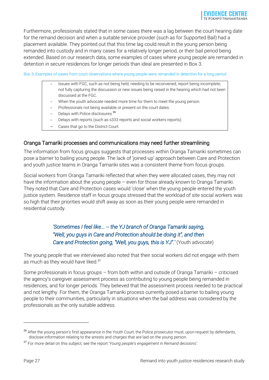Furthermore, professionals stated that in some cases there was a lag between the court hearing date for the remand decision and when a suitable service provider (such as for Supported Bail) had a placement available. They pointed out that this time lag could result in the young person being remanded into custody and in many cases for a relatively longer period, or their bail period being extended. Based on our research data, some examples of cases where young people are remanded in detention in secure residences for longer periods than ideal are presented in [Box 3.](#page-26-0)

<span id="page-26-0"></span>Box 3: Examples of cases from court observations where young people were remanded in detention for a long period

- Issues with FGC, such as not being held, needing to be reconvened, report being incomplete, not fully capturing the discussion or new issues being raised in the hearing which had not been discussed at the FGC.
- When the youth advocate needed more time for them to meet the young person.
- Professionals not being available or present on the court dates.
- Delays with Police disclosures.<sup>26</sup>
- Delays with reports (such as s333 reports and social workers reports).
- Cases that go to the District Court.

#### Oranga Tamariki processes and communications may need further streamlining

The information from focus groups suggests that processes within Oranga Tamariki sometimes can pose a barrier to bailing young people. The lack of 'joined-up' approach between Care and Protection and youth justice teams in Oranga Tamariki sites was a consistent theme from focus groups.

Social workers from Oranga Tamariki reflected that when they were allocated cases, they may not have the information about the young people – even for those already known to Oranga Tamariki. They noted that Care and Protection cases would 'close' when the young people entered the youth justice system. Residence staff in focus groups stressed that the workload of site social workers was so high that their priorities would shift away as soon as their young people were remanded in residential custody.

## *'Sometimes I feel like... -- the YJ branch of Oranga Tamariki saying, "Well, you guys in Care and Protection should be doing it", and then Care and Protection going, "Well, you guys, this is YJ".'* (Youth advocate)

The young people that we interviewed also noted that their social workers did not engage with them as much as they would have liked.<sup>27</sup>

Some professionals in focus groups – from both within and outside of Oranga Tamariki – criticised the agency's caregiver assessment process as contributing to young people being remanded in residences, and for longer periods. They believed that the assessment process needed to be practical and not lengthy. For them, the Oranga Tamariki process currently posed a barrier to bailing young people to their communities, particularly in situations when the bail address was considered by the professionals as the only suitable address.

 $\overline{a}$ 

<sup>&</sup>lt;sup>26</sup> After the young person's first appearance in the Youth Court, the Police prosecutor must, upon request by defendants, disclose information relating to the arrests and charges that are laid on the young person.

<sup>27</sup> For more detail on this subject, see the report '*Young people's engagement in Remand decisions'.*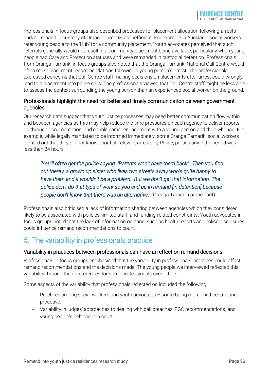Professionals in focus groups also described processes for placement allocation following arrests and/or remand in custody of Oranga Tamariki as inefficient. For example in Auckland, social workers refer young people to the 'Hub' for a community placement. Youth advocates perceived that such referrals generally would not result in a community placement being available, particularly when young people had Care and Protection statuses and were remanded in custodial detention. Professionals from Oranga Tamariki in focus groups also noted that the Oranga Tamariki National Call Centre would often make placement recommendations following a young person's arrest. The professionals expressed concerns that Call Centre staff making decisions on placements after arrest could wrongly lead to a placement into police cells. The professionals viewed that Call Centre staff might be less able to assess the context surrounding the young person than an experienced social worker on the ground.

## Professionals highlight the need for better and timely communication between government agencies

Our research data suggest that youth justice processes may need better communication flow within and between agencies as this may help reduce the time pressures on each agency to deliver reports, go through documentation, and enable earlier engagement with a young person and their whānau. For example, while legally mandated to be informed immediately, some Oranga Tamariki social workers pointed out that they did not know about all relevant arrests by Police, particularly if the period was less than 24 hours.

*'You'll often get the police saying, "Parents won't have them back"…Then you find out there's a grown up sister who lives two streets away who's quite happy to have them and it wouldn't be a problem. But we don't get that information. The police don't do that type of work so you end up in remand [in detention] because people don't know that there was an alternative.'* (Oranga Tamariki participant)

Professionals also criticised a lack of information sharing between agencies which they considered likely to be associated with policies, limited staff, and funding-related constraints. Youth advocates in focus groups noted that the lack of information on hand, such as health reports and police disclosures could influence remand recommendations to court.

## <span id="page-27-0"></span>5. The variability in professionals practice

## Variability in practices between professionals can have an effect on remand decisions

Professionals in focus groups emphasised that the variability in professionals' practices could affect remand recommendations and the decisions made. The young people we interviewed reflected this variability through their preferences for some professionals over others.

Some aspects of the variability that professionals reflected on included the following:

- Practices among social workers and youth advocates some being more child-centric and proactive.
- Variability in judges' approaches to dealing with bail breaches, FGC recommendations, and young people's behaviour in court.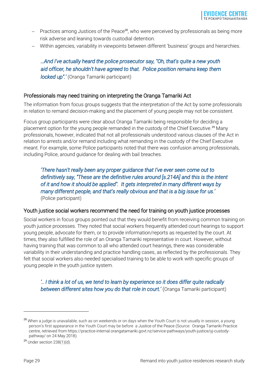- Practices among Justices of the Peace<sup>28</sup>, who were perceived by professionals as being more risk adverse and leaning towards custodial detention.
- Within agencies, variability in viewpoints between different 'business' groups and hierarchies.

## *…And I've actually heard the police prosecutor say, "Oh, that's quite a new youth aid officer, he shouldn't have agreed to that. Police position remains keep them locked up".'* (Oranga Tamariki participant)

### Professionals may need training on interpreting the Oranga Tamariki Act

The information from focus groups suggests that the interpretation of the Act by some professionals in relation to remand decision-making and the placement of young people may not be consistent.

Focus group participants were clear about Oranga Tamariki being responsible for deciding a placement option for the young people remanded in the custody of the Chief Executive.<sup>29</sup> Many professionals, however, indicated that not all professionals understood various clauses of the Act in relation to arrests and/or remand including what remanding in the custody of the Chief Executive meant. For example, some Police participants noted that there was confusion among professionals, including Police, around guidance for dealing with bail breaches.

*'There hasn't really been any proper guidance that I've ever seen come out to definitively say, "These are the definitive rules around [s.214A] and this is the intent of it and how it should be applied". It gets interpreted in many different ways by many different people, and that's really obvious and that is a big issue for us.'*  (Police participant)

#### Youth justice social workers recommend the need for training on youth justice processes

Social workers in focus groups pointed out that they would benefit from receiving common training on youth justice processes. They noted that social workers frequently attended court hearings to support young people, advocate for them, or to provide information/reports as requested by the court. At times, they also fulfilled the role of an Oranga Tamariki representative in court. However, without having training that was common to all who attended court hearings, there was considerable variability in their understanding and practice handling cases, as reflected by the professionals. They felt that social workers also needed specialised training to be able to work with specific groups of young people in the youth justice system.

*'.. I think a lot of us, we tend to learn by experience so it does differ quite radically between different sites how you do that role in court.'* (Oranga Tamariki participant)

<sup>&</sup>lt;sup>28</sup> When a judge is unavailable, such as on weekends or on days when the Youth Court is not usually in session, a young person's first appearance in the Youth Court may be before a Justice of the Peace (Source: Oranga Tamariki Practice centre, retrieved from https://practice-internal.orangatamariki.govt.nz/service-pathways/youth-justice/yj-custodypathway/ on 24 May 2018).

 $29$  Under section 238(1)(d).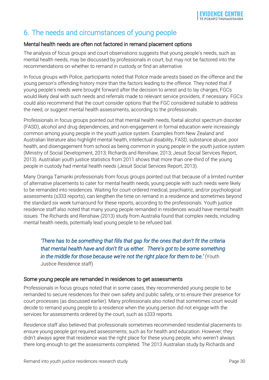## <span id="page-29-0"></span>6. The needs and circumstances of young people

## Mental health needs are often not factored in remand placement options

The analysis of focus groups and court observations suggests that young people's needs, such as mental health needs, may be discussed by professionals in court, but may not be factored into the recommendations on whether to remand in custody or find an alternative.

In focus groups with Police, participants noted that Police made arrests based on the offence and the young person's offending history more than the factors leading to the offence. They noted that if young people's needs were brought forward after the decision to arrest and to lay charges, FGCs would likely deal with such needs and referrals made to relevant service providers, if necessary. FGCs could also recommend that the court consider options that the FGC considered suitable to address the need, or suggest mental health assessments, according to the professionals.

Professionals in focus groups pointed out that mental health needs, foetal alcohol spectrum disorder (FASD), alcohol and drug dependencies, and non-engagement in formal education were increasingly common among young people in the youth justice system. Examples from New Zealand and Australian literature also highlight mental health, intellectual disability, FASD, substance abuse, poor health, and disengagement from school as being common in young people in the youth justice system (Ministry of Social Development, 2013; Richards and Renshaw, 2013; Jesuit Social Services Report, 2013). Australian youth justice statistics from 2011 shows that more than one-third of the young people in custody had mental health needs (Jesuit Social Services Report, 2013).

Many Oranga Tamariki professionals from focus groups pointed out that because of a limited number of alternative placements to cater for mental health needs, young people with such needs were likely to be remanded into residences. Waiting for court-ordered medical, psychiatric, and/or psychological assessments (s333 reports), can lengthen the time on remand in a residence and sometimes beyond the standard six week turnaround for these reports, according to the professionals. Youth justice residence staff also noted that many young people remanded in residences would have mental health issues. The Richards and Renshaw (2013) study from Australia found that complex needs, including mental health needs, potentially lead young people to be refused bail.

*'There has to be something that fills that gap for the ones that don't fit the criteria that mental health have and don't fit us either. There's got to be some something in the middle for those because we're not the right place for them to be.'* (Youth Justice Residence staff)

## Some young people are remanded in residences to get assessments

Professionals in focus groups noted that in some cases, they recommended young people to be remanded to secure residences for their own safety and public safety, or to ensure their presence for court processes (as discussed earlier). Many professionals also noted that sometimes court would decide to remand young people to a residence when the young person did not engage with the services for assessments ordered by the court, such as s333 reports.

Residence staff also believed that professionals sometimes recommended residential placements to ensure young people got required assessments, such as for health and education. However, they didn't always agree that residence was the right place for these young people, who weren't always there long enough to get the assessments completed. The 2013 Australian study by Richards and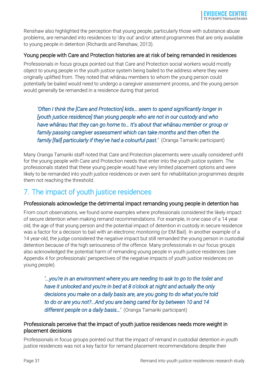Renshaw also highlighted the perception that young people, particularly those with substance abuse problems, are remanded into residences to 'dry out' and/or attend programmes that are only available to young people in detention (Richards and Renshaw, 2013).

## Young people with Care and Protection histories are at risk of being remanded in residences

Professionals in focus groups pointed out that Care and Protection social workers would mostly object to young people in the youth justice system being bailed to the address where they were originally uplifted from. They noted that whānau members to whom the young person could potentially be bailed would need to undergo a caregiver assessment process, and the young person would generally be remanded in a residence during that period.

*'Often I think the [Care and Protection] kids… seem to spend significantly longer in [youth justice residence] than young people who are not in our custody and who have whānau that they can go home to… It's about that whānau member or group or family passing caregiver assessment which can take months and then often the family [fail] particularly if they've had a colourful past.'* (Oranga Tamariki participant)

Many Oranga Tamariki staff noted that Care and Protection placements were usually considered unfit for the young people with Care and Protection needs that enter into the youth justice system. The professionals stated that these young people would have very limited placement options and were likely to be remanded into youth justice residences or even sent for rehabilitation programmes despite them not reaching the threshold.

## <span id="page-30-0"></span>7. The impact of youth justice residences

## Professionals acknowledge the detrimental impact remanding young people in detention has

From court observations, we found some examples where professionals considered the likely impact of secure detention when making remand recommendations. For example, in one case of a 14 year old, the age of that young person and the potential impact of detention in custody in secure residence was a factor for a decision to bail with an electronic monitoring (or EM Bail). In another example of a 14 year-old, the judge considered the negative impact but still remanded the young person in custodial detention because of the high seriousness of the offence. Many professionals in our focus groups also acknowledged the potential harm of remanding young people in youth justice residences (see Appendix 4 for professionals' perspectives of the negative impacts of youth justice residences on young people).

*'...you're in an environment where you are needing to ask to go to the toilet and have it unlocked and you're in bed at 8 o'clock at night and actually the only decisions you make on a daily basis are, are you going to do what you're told to do or are you not?...And you are being cared for by between 10 and 14 different people on a daily basis…'* (Oranga Tamariki participant)

### Professionals perceive that the impact of youth justice residences needs more weight in placement decisions

Professionals in focus groups pointed out that the impact of remand in custodial detention in youth justice residences was not a key factor for remand placement recommendations despite their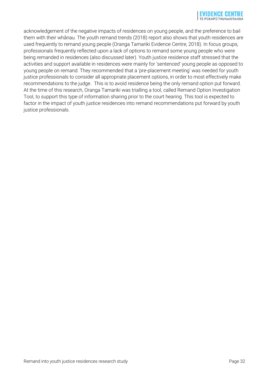acknowledgement of the negative impacts of residences on young people, and the preference to bail them with their whānau. The youth remand trends (2018) report also shows that youth residences are used frequently to remand young people (Oranga Tamariki Evidence Centre, 2018). In focus groups, professionals frequently reflected upon a lack of options to remand some young people who were being remanded in residences (also discussed later). Youth justice residence staff stressed that the activities and support available in residences were mainly for 'sentenced' young people as opposed to young people on remand. They recommended that a 'pre-placement meeting' was needed for youth justice professionals to consider all appropriate placement options, in order to most effectively make recommendations to the judge. This is to avoid residence being the only remand option put forward. At the time of this research, Oranga Tamariki was trialling a tool, called Remand Option Investigation Tool, to support this type of information sharing prior to the court hearing. This tool is expected to factor in the impact of youth justice residences into remand recommendations put forward by youth justice professionals.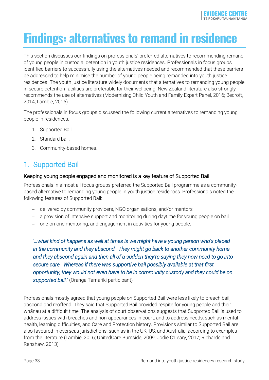# <span id="page-32-0"></span>**Findings: alternatives to remand in residence**

This section discusses our findings on professionals' preferred alternatives to recommending remand of young people in custodial detention in youth justice residences. Professionals in focus groups identified barriers to successfully using the alternatives needed and recommended that these barriers be addressed to help minimise the number of young people being remanded into youth justice residences. The youth justice literature widely documents that alternatives to remanding young people in secure detention facilities are preferable for their wellbeing. New Zealand literature also strongly recommends the use of alternatives (Modernising Child Youth and Family Expert Panel, 2016; Becroft, 2014; Lambie, 2016).

The professionals in focus groups discussed the following current alternatives to remanding young people in residences.

- 1. Supported Bail.
- 2. Standard bail.
- 3. Community-based homes.

## <span id="page-32-1"></span>1. Supported Bail

### Keeping young people engaged and monitored is a key feature of Supported Bail

Professionals in almost all focus groups preferred the Supported Bail programme as a communitybased alternative to remanding young people in youth justice residences. Professionals noted the following features of Supported Bail:

- delivered by community providers, NGO organisations, and/or mentors
- a provision of intensive support and monitoring during daytime for young people on bail
- one-on-one mentoring, and engagement in activities for young people.

*'…what kind of happens as well at times is we might have a young person who's placed in the community and they abscond. They might go back to another community home and they abscond again and then all of a sudden they're saying they now need to go into secure care. Whereas if there was supportive bail possibly available at that first opportunity, they would not even have to be in community custody and they could be on supported bail.'* (Oranga Tamariki participant)

Professionals mostly agreed that young people on Supported Bail were less likely to breach bail, abscond and reoffend. They said that Supported Bail provided respite for young people and their whānau at a difficult time. The analysis of court observations suggests that Supported Bail is used to address issues with breaches and non-appearances in court, and to address needs, such as mental health, learning difficulties, and Care and Protection history. Provisions similar to Supported Bail are also favoured in overseas jurisdictions, such as in the UK, US, and Australia, according to examples from the literature (Lambie, 2016; UnitedCare Burnside, 2009; Jodie O'Leary, 2017; Richards and Renshaw, 2013).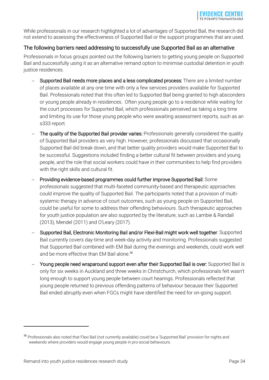While professionals in our research highlighted a lot of advantages of Supported Bail, the research did not extend to assessing the effectiveness of Supported Bail or the support programmes that are used.

## The following barriers need addressing to successfully use Supported Bail as an alternative

Professionals in focus groups pointed out the following barriers to getting young people on Supported Bail and successfully using it as an alternative remand option to minimise custodial detention in youth justice residences.

- Supported Bail needs more places and a less complicated process: There are a limited number of places available at any one time with only a few services providers available for Supported Bail. Professionals noted that this often led to Supported Bail being granted to high absconders or young people already in residences. Often young people go to a residence while waiting for the court processes for Supported Bail, which professionals perceived as taking a long time and limiting its use for those young people who were awaiting assessment reports, such as an s333 report.
- The quality of the Supported Bail provider varies: Professionals generally considered the quality of Supported Bail providers as very high. However, professionals discussed that occasionally Supported Bail did break down, and that better quality providers would make Supported Bail to be successful. Suggestions included finding a better cultural fit between providers and young people, and the role that social workers could have in their communities to help find providers with the right skills and cultural fit.
- Providing evidence-based programmes could further improve Supported Bail: Some professionals suggested that multi-faceted community-based and therapeutic approaches could improve the quality of Supported Bail. The participants noted that a provision of multisystemic therapy in advance of court outcomes, such as young people on Supported Bail, could be useful for some to address their offending behaviours. Such therapeutic approaches for youth justice population are also supported by the literature, such as Lambie & Randall (2013), Mendel (2011) and O'Leary (2017).
- Supported Bail, Electronic Monitoring Bail and/or Flexi-Bail might work well together: Supported Bail currently covers day-time and week-day activity and monitoring. Professionals suggested that Supported Bail combined with EM Bail during the evenings and weekends, could work well and be more effective than EM Bail alone.<sup>30</sup>
- Young people need wraparound support even after their Supported Bail is over: Supported Bail is only for six weeks in Auckland and three weeks in Christchurch, which professionals felt wasn't long enough to support young people between court hearings. Professionals reflected that young people returned to previous offending patterns of behaviour because their Supported Bail ended abruptly even when FGCs might have identified the need for on-going support.

-

<sup>&</sup>lt;sup>30</sup> Professionals also noted that Flexi Bail (not currently available) could be a 'Supported Bail' provision for nights and weekends where providers would engage young people in pro-social behaviours.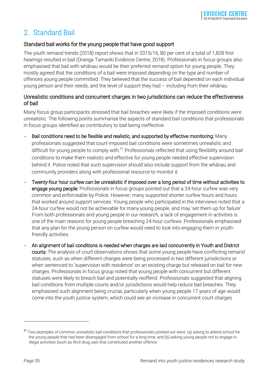## <span id="page-34-0"></span>2. Standard Bail

## Standard bail works for the young people that have good support

The youth remand trends (2018) report shows that in 2015/16, 80 per cent of a total of 1,828 first hearings resulted in bail (Oranga Tamariki Evidence Centre, 2018). Professionals in focus groups also emphasised that bail with whānau would be their preferred remand option for young people. They mostly agreed that the conditions of a bail were imposed depending on the type and number of offences young people committed. They believed that the success of bail depended on each individual young person and their needs, and the level of support they had – including from their whānau.

## Unrealistic conditions and concurrent charges in two jurisdictions can reduce the effectiveness of bail

Many focus group participants stressed that bail breaches were likely if the imposed conditions were unrealistic. The following points summarise the aspects of standard bail conditions that professionals in focus groups identified as contributory to bail being ineffective.

- Bail conditions need to be flexible and realistic, and supported by effective monitoring: Many professionals suggested that court-imposed bail conditions were sometimes unrealistic and difficult for young people to comply with.<sup>31</sup> Professionals reflected that using flexibility around bail conditions to make them realistic and effective for young people needed effective supervision behind it. Police noted that such supervision should also include support from the whānau and community providers along with professional resource to monitor it.
- Twenty-four hour curfew can be unrealistic if imposed over a long period of time without activities to engage young people: Professionals in focus groups pointed out that a 24-hour curfew was very common and enforceable by Police. However, many supported shorter curfew hours and hours that worked around support services. Young people who participated in the interviews noted that a 24-hour curfew would not be achievable for many young people, and may 'set them up for failure' From both professionals and young people in our research, a lack of engagement in activities is one of the main reasons for young people breaching 24-hour curfews. Professionals emphasised that any plan for the young person on curfew would need to look into engaging them in youthfriendly activities.
- An alignment of bail conditions is needed when charges are laid concurrently in Youth and District courts: The analysis of court observations shows that some young people have conflicting remand statuses, such as when different charges were being processed in two different jurisdictions or when sentenced to 'supervision with residence' on an existing charge but released on bail for new charges. Professionals in focus group noted that young people with concurrent but different statuses were likely to breach bail and potentially reoffend. Professionals suggested that aligning bail conditions from multiple courts and/or jurisdictions would help reduce bail breaches. They emphasised such alignment being crucial, particularly when young people 17 years of age would come into the youth justice system, which could see an increase in concurrent court charges.

<sup>&</sup>lt;sup>31</sup> Two examples of common unrealistic bail conditions that professionals pointed out were: (a) asking to attend school for the young people that had been disengaged from school for a long time; and (b) asking young people not to engage in illegal activities (such as illicit drug use) that constituted another offence.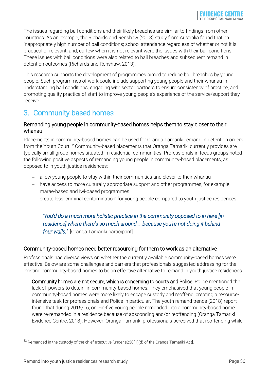The issues regarding bail conditions and their likely breaches are similar to findings from other countries. As an example, the Richards and Renshaw (2013) study from Australia found that an inappropriately high number of bail conditions; school attendance regardless of whether or not it is practical or relevant; and, curfew when it is not relevant were the issues with their bail conditions. These issues with bail conditions were also related to bail breaches and subsequent remand in detention outcomes (Richards and Renshaw, 2013).

This research supports the development of programmes aimed to reduce bail breaches by young people. Such programmes of work could include supporting young people and their whānau in understanding bail conditions, engaging with sector partners to ensure consistency of practice, and promoting quality practice of staff to improve young people's experience of the service/support they receive.

## <span id="page-35-0"></span>3. Community-based homes

## Remanding young people in community-based homes helps them to stay closer to their whānau

Placements in community-based homes can be used for Oranga Tamariki remand in detention orders from the Youth Court.<sup>32</sup> Community-based placements that Oranga Tamariki currently provides are typically small group homes situated in residential communities. Professionals in focus groups noted the following positive aspects of remanding young people in community-based placements, as opposed to in youth justice residences:

- allow young people to stay within their communities and closer to their whānau
- have access to more culturally appropriate support and other programmes, for example marae-based and Iwi-based programmes
- create less 'criminal contamination' for young people compared to youth justice residences.

## *'You'd do a much more holistic practice in the community opposed to in here [in residence] where there's so much around… because you're not doing it behind four walls.'* [Oranga Tamariki participant]

## Community-based homes need better resourcing for them to work as an alternative

Professionals had diverse views on whether the currently available community-based homes were effective. Below are some challenges and barriers that professionals suggested addressing for the existing community-based homes to be an effective alternative to remand in youth justice residences.

 Community homes are not secure, which is concerning to courts and Police: Police mentioned the lack of 'powers to detain' in community-based homes. They emphasised that young people in community-based homes were more likely to escape custody and reoffend, creating a resourceintensive task for professionals and Police in particular. The youth remand trends (2018) report found that during 2015/16, one-in-five young people remanded into a community-based home were re-remanded in a residence because of absconding and/or reoffending (Oranga Tamariki Evidence Centre, 2018). However, Oranga Tamariki professionals perceived that reoffending while

 $32$  Remanded in the custody of the chief executive [under s238(1)(d) of the Oranga Tamariki Act].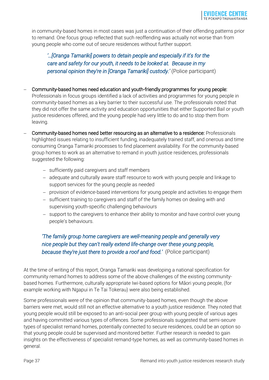in community-based homes in most cases was just a continuation of their offending patterns prior to remand. One focus group reflected that such reoffending was actually not worse than from young people who come out of secure residences without further support.

*'…[Oranga Tamariki] powers to detain people and especially if it's for the care and safety for our youth, it needs to be looked at. Because in my personal opinion they're in [Oranga Tamariki] custody.'* (Police participant)

- Community-based homes need education and youth-friendly programmes for young people: Professionals in focus groups identified a lack of activities and programmes for young people in community-based homes as a key barrier to their successful use. The professionals noted that they did not offer the same activity and education opportunities that either Supported Bail or youth justice residences offered, and the young people had very little to do and to stop them from leaving.
- Community-based homes need better resourcing as an alternative to a residence: Professionals highlighted issues relating to insufficient funding, inadequately trained staff, and onerous and time consuming Oranga Tamariki processes to find placement availability. For the community-based group homes to work as an alternative to remand in youth justice residences, professionals suggested the following:
	- sufficiently paid caregivers and staff members
	- adequate and culturally aware staff resource to work with young people and linkage to support services for the young people as needed
	- provision of evidence-based interventions for young people and activities to engage them
	- sufficient training to caregivers and staff of the family homes on dealing with and supervising youth-specific challenging behaviours
	- support to the caregivers to enhance their ability to monitor and have control over young people's behaviours.

## *'The family group home caregivers are well-meaning people and generally very nice people but they can't really extend life-change over these young people, because they're just there to provide a roof and food.'* (Police participant)

At the time of writing of this report, Oranga Tamariki was developing a national specification for community remand homes to address some of the above challenges of the existing communitybased homes. Furthermore, culturally appropriate Iwi-based options for Māori young people, (for example working with Ngapui in Te Tai Tokerau) were also being established.

Some professionals were of the opinion that community-based homes, even though the above barriers were met, would still not an effective alternative to a youth justice residence. They noted that young people would still be exposed to an anti-social peer group with young people of various ages and having committed various types of offences. Some professionals suggested that semi-secure types of specialist remand homes, potentially connected to secure residences, could be an option so that young people could be supervised and monitored better. Further research is needed to gain insights on the effectiveness of specialist remand-type homes, as well as community-based homes in general.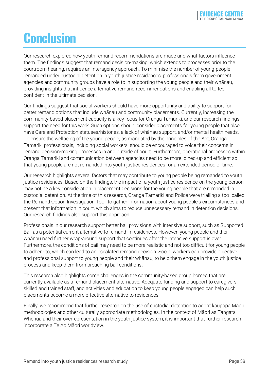## <span id="page-37-0"></span>**Conclusion**

Our research explored how youth remand recommendations are made and what factors influence them. The findings suggest that remand decision-making, which extends to processes prior to the courtroom hearing, requires an interagency approach. To minimise the number of young people remanded under custodial detention in youth justice residences, professionals from government agencies and community groups have a role to in supporting the young people and their whānau, providing insights that influence alternative remand recommendations and enabling all to feel confident in the ultimate decision.

Our findings suggest that social workers should have more opportunity and ability to support for better remand options that include whānau and community placements. Currently, increasing the community-based placement capacity is a key focus for Oranga Tamariki, and our research findings support the need for this work. Such options should consider placements for young people that also have Care and Protection statuses/histories, a lack of whānau support, and/or mental health needs. To ensure the wellbeing of the young people, as mandated by the principles of the Act, Oranga Tamariki professionals, including social workers, should be encouraged to voice their concerns in remand decision-making processes in and outside of court. Furthermore, operational processes within Oranga Tamariki and communication between agencies need to be more joined-up and efficient so that young people are not remanded into youth justice residences for an extended period of time.

Our research highlights several factors that may contribute to young people being remanded to youth justice residences. Based on the findings, the impact of a youth justice residence on the young person may not be a key consideration in placement decisions for the young people that are remanded in custodial detention. At the time of this research, Oranga Tamariki and Police were trialling a tool called the Remand Option Investigation Tool, to gather information about young people's circumstances and present that information in court, which aims to reduce unnecessary remand in detention decisions. Our research findings also support this approach.

Professionals in our research support better bail provisions with intensive support, such as Supported Bail as a potential current alternative to remand in residences. However, young people and their whānau need further wrap-around support that continues after the intensive support is over. Furthermore, the conditions of bail may need to be more realistic and not too difficult for young people to adhere to, which can lead to an escalated remand decision. Social workers can provide objective and professional support to young people and their whānau, to help them engage in the youth justice process and keep them from breaching bail conditions.

This research also highlights some challenges in the community-based group homes that are currently available as a remand placement alternative. Adequate funding and support to caregivers, skilled and trained staff, and activities and education to keep young people engaged can help such placements become a more effective alternative to residences.

Finally, we recommend that further research on the use of custodial detention to adopt kaupapa Māori methodologies and other culturally appropriate methodologies. In the context of Māori as Tangata Whenua and their overrepresentation in the youth justice system, it is important that further research incorporate a Te Ao Māori worldview.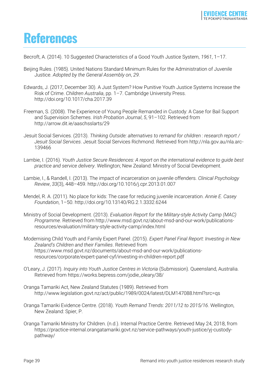## <span id="page-38-0"></span>**References**

Becroft, A. (2014). 10 Suggested Characteristics of a Good Youth Justice System, *1961*, 1–17.

- Beijing Rules. (1985). United Nations Standard Minimum Rules for the Administration of Juvenile Justice. *Adopted by the General Assembly on*, *29*.
- Edwards, J. (2017, December 30). A Just System? How Punitive Youth Justice Systems Increase the Risk of Crime. *Children Australia*, pp. 1–7. Cambridge University Press. http://doi.org/10.1017/cha.2017.39
- Freeman, S. (2008). The Experience of Young People Remanded in Custody: A Case for Bail Support and Supervision Schemes. *Irish Probation Journal*, *5*, 91–102. Retrieved from http://arrow.dit.ie/aaschsslarts/29
- Jesuit Social Services. (2013). *Thinking Outside: alternatives to remand for children : research report / Jesuit Social Services*. Jesuit Social Services Richmond. Retrieved from http://nla.gov.au/nla.arc-139466
- Lambie, I. (2016). *Youth Justice Secure Residences: A report on the international evidence to guide best practice and service delivery*. Wellington; New Zealand: Ministry of Social Development.
- Lambie, I., & Randell, I. (2013). The impact of incarceration on juvenile offenders. *Clinical Psychology Review*, *33*(3), 448–459. http://doi.org/10.1016/j.cpr.2013.01.007
- Mendel, R. A. (2011). No place for kids: The case for reducing juvenile incarceration. *Annie E. Casey Foundation*, 1–50. http://doi.org/10.13140/RG.2.1.3332.6244
- Ministry of Social Development. (2013). *Evaluation Report for the Military-style Activity Camp (MAC) Programme*. Retrieved from http://www.msd.govt.nz/about-msd-and-our-work/publicationsresources/evaluation/military-style-activity-camp/index.html
- Modernising Child Youth and Family Expert Panel. (2015). *Expert Panel Final Report: Investing in New Zealand's Children and their Families*. Retrieved from https://www.msd.govt.nz/documents/about-msd-and-our-work/publicationsresources/corporate/expert-panel-cyf/investing-in-children-report.pdf
- O'Leary, J. (2017). *Inquiry into Youth Justice Centres in Victoria* (Submission). Queensland, Australia. Retrieved from https://works.bepress.com/jodie\_oleary/38/
- Oranga Tamariki Act, New Zealand Statutes (1989). Retrieved from http://www.legislation.govt.nz/act/public/1989/0024/latest/DLM147088.html?src=qs
- Oranga Tamariki Evidence Centre. (2018). *Youth Remand Trends: 2011/12 to 2015/16*. Wellington, New Zealand: Spier, P.
- Oranga Tamariki Ministry for Children. (n.d.). Internal Practice Centre. Retrieved May 24, 2018, from https://practice-internal.orangatamariki.govt.nz/service-pathways/youth-justice/yj-custodypathway/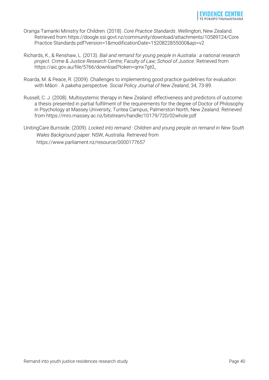- Oranga Tamariki Ministry for Children. (2018). *Core Practice Standards*. Wellington; New Zealand. Retrieved from https://doogle.ssi.govt.nz/community/download/attachments/10589124/Core Practice Standards.pdf?version=1&modificationDate=1520822855000&api=v2
- Richards, K., & Renshaw, L. (2013). *Bail and remand for young people in Australia : a national research project*. *Crime & Justice Research Centre; Faculty of Law; School of Justice*. Retrieved from https://aic.gov.au/file/5766/download?token=qmx7gt0\_
- Roarda, M. & Peace, R. (2009). Challenges to implementing good practice guidelines for evaluation with Māori . A pakeha perspective. *Social Policy Journal of New Zealand*, 34, 73-89.
- Russell, C. J. (2008). Multisystemic therapy in New Zealand: effectiveness and predictors of outcome: a thesis presented in partial fulfilment of the requirements for the degree of Doctor of Philosophy in Psychology at Massey University, Turitea Campus, Palmerston North, New Zealand. Retrieved from https://mro.massey.ac.nz/bitstream/handle/10179/720/02whole.pdf
- UnitingCare Burnside. (2009). *Locked into remand : Children and young people on remand in New South Wales Background paper*. NSW, Australia. Retrieved from https://www.parliament.nz/resource/0000177657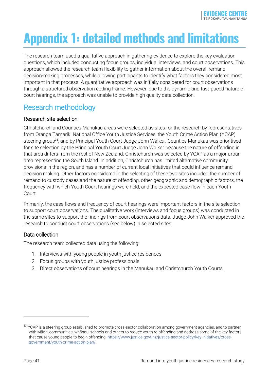# <span id="page-40-0"></span>**Appendix 1: detailed methods and limitations**

The research team used a qualitative approach in gathering evidence to explore the key evaluation questions, which included conducting focus groups, individual interviews, and court observations. This approach allowed the research team flexibility to gather information about the overall remand decision-making processes, while allowing participants to identify what factors they considered most important in that process. A quantitative approach was initially considered for court observations through a structured observation coding frame. However, due to the dynamic and fast-paced nature of court hearings, the approach was unable to provide high quality data collection.

## <span id="page-40-1"></span>Research methodology

## Research site selection

Christchurch and Counties Manukau areas were selected as sites for the research by representatives from Oranga Tamariki National Office Youth Justice Services, the Youth Crime Action Plan (YCAP) steering group<sup>33</sup>, and by Principal Youth Court Judge John Walker. Counties Manukau was prioritised for site selection by the Principal Youth Court Judge John Walker because the nature of offending in that area differs from the rest of New Zealand. Christchurch was selected by YCAP as a major urban area representing the South Island. In addition, Christchurch has limited alternative community provisions in the region, and has a number of current local initiatives that could influence remand decision making. Other factors considered in the selecting of these two sites included the number of remand to custody cases and the nature of offending, other geographic and demographic factors, the frequency with which Youth Court hearings were held, and the expected case flow in each Youth Court.

Primarily, the case flows and frequency of court hearings were important factors in the site selection to support court observations. The qualitative work (interviews and focus groups) was conducted in the same sites to support the findings from court observations data. Judge John Walker approved the research to conduct court observations (see below) in selected sites.

## Data collection

The research team collected data using the following:

- 1. Interviews with young people in youth justice residences
- 2. Focus groups with youth justice professionals
- 3. Direct observations of court hearings in the Manukau and Christchurch Youth Courts.

<sup>&</sup>lt;sup>33</sup> YCAP is a steering group established to promote cross-sector collaboration among government agencies, and to partner with Māori, communities, whānau, schools and others to reduce youth re-offending and address some of the key factors that cause young people to begin offending. [https://www.justice.govt.nz/justice-sector-policy/key-initiatives/cross](https://www.justice.govt.nz/justice-sector-policy/key-initiatives/cross-government/youth-crime-action-plan/)[government/youth-crime-action-plan/](https://www.justice.govt.nz/justice-sector-policy/key-initiatives/cross-government/youth-crime-action-plan/)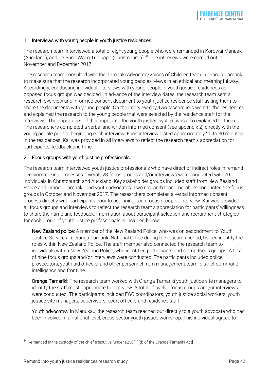#### 1. Interviews with young people in youth justice residences

The research team interviewed a total of eight young people who were remanded in Korowai Manaaki (Auckland), and Te Puna Wai  $\bar{o}$  Tuhinapo (Christchurch).<sup>34</sup> The interviews were carried out in November and December 2017.

The research team consulted with the Tamariki Advocate/Voices of Children team in Oranga Tamariki to make sure that the research incorporated young peoples' views in an ethical and meaningful way. Accordingly, conducting individual interviews with young people in youth justice residences as opposed focus groups was decided. In advance of the interview dates, the research team sent a research overview and informed consent document to youth justice residence staff asking them to share the documents with young people. On the interview day, two researchers went to the residences and explained the research to the young people that were selected by the residence staff for the interviews. The importance of their input into the youth justice system was also explained to them. The researchers completed a verbal and written informed consent (see appendix 2) directly with the young people prior to beginning each interview. Each interview lasted approximately 20 to 30 minutes in the residences. Kai was provided in all interviews to reflect the research team's appreciation for participants' feedback and time.

#### 2. Focus groups with youth justice professionals

The research team interviewed youth justice professionals who have direct or indirect roles in remand decision-making processes. Overall, 23 focus groups and/or interviews were conducted with 70 individuals in Christchurch and Auckland. Key stakeholder groups included staff from New Zealand Police and Oranga Tamariki, and youth advocates. Two research team members conducted the focus groups in October and November 2017. The researchers completed a verbal informed consent process directly with participants prior to beginning each focus group or interview. Kai was provided in all focus groups and interviews to reflect the research team's appreciation for participants' willingness to share their time and feedback. Information about participant selection and recruitment strategies for each group of youth justice professionals is included below.

New Zealand police: A member of the New Zealand Police, who was on secondment to Youth Justice Services in Oranga Tamariki National Office during the research period, helped identify the roles within New Zealand Police. The staff member also connected the research team to individuals within New Zealand Police, who identified participants and set up focus groups. A total of nine focus groups and/or interviews were conducted. The participants included police prosecutors, youth aid officers, and other personnel from management team, district command, intelligence and frontline.

Oranga Tamariki: The research team worked with Oranga Tamariki youth justice site managers to identify the staff most appropriate to interview. A total of twelve focus groups and/or interviews were conducted. The participants included FGC coordinators, youth justice social workers, youth justice site managers, supervisors, court officers and residence staff.

Youth advocates: In Manukau, the research team reached out directly to a youth advocate who had been involved in a national-level, cross-sector youth justice workshop. This individual agreed to

 $34$  Remanded in the custody of the chief executive [under s238(1)(d) of the Oranga Tamariki Act]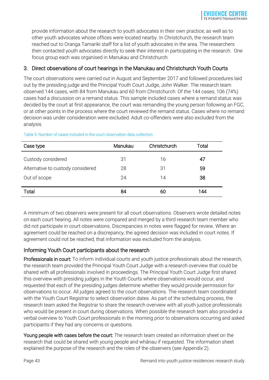provide information about the research to youth advocates in their own practice, as well as to other youth advocates whose offices were located nearby. In Christchurch, the research team reached out to Oranga Tamariki staff for a list of youth advocates in the area. The researchers then contacted youth advocates directly to seek their interest in participating in the research. One focus group each was organised in Manukau and Christchurch.

## 3. Direct observations of court hearings in the Manukau and Christchurch Youth Courts

The court observations were carried out in August and September 2017 and followed procedures laid out by the presiding judge and the Principal Youth Court Judge, John Walker. The research team observed 144 cases, with 84 from Manukau and 60 from Christchurch. Of the 144 cases, 106 (74%) cases had a discussion on a remand status. This sample included cases where a remand status was decided by the court at first appearance, the court was remanding the young person following an FGC, or at other points in the process where the court reviewed the remand status. Cases where no remand decision was under consideration were excluded. Adult co-offenders were also excluded from the analysis.

| Case type                         | Manukau | Christchurch | Total |
|-----------------------------------|---------|--------------|-------|
| Custody considered                | 31      | 16           | 47    |
| Alternative to custody considered | 28      | 31           | 59    |
| Out of scope                      | 24      | 14           | 38    |
|                                   |         |              |       |
| Total                             | 84      | 60           | 144   |

#### Table 3: Number of cases included in the court observation data collection

A minimum of two observers were present for all court observations. Observers wrote detailed notes on each court hearing. All notes were compared and merged by a third research team member who did not participate in court observations. Discrepancies in notes were flagged for review. Where an agreement could be reached on a discrepancy, the agreed decision was included in court notes. If agreement could not be reached, that information was excluded from the analysis.

## Informing Youth Court participants about the research

Professionals in court: To inform individual courts and youth justice professionals about the research, the research team provided the Principal Youth Court Judge with a research overview that could be shared with all professionals involved in proceedings. The Principal Youth Court Judge first shared this overview with presiding judges in the Youth Courts where observations would occur, and requested that each of the presiding judges determine whether they would provide permission for observations to occur. All judges agreed to the court observations. The research team coordinated with the Youth Court Registrar to select observation dates. As part of the scheduling process, the research team asked the Registrar to share the research overview with all youth justice professionals who would be present in court during observations. When possible the research team also provided a verbal overview to Youth Court professionals in the morning prior to observations occurring and asked participants if they had any concerns or questions.

Young people with cases before the court: The research team created an information sheet on the research that could be shared with young people and whānau if requested. The information sheet explained the purpose of the research and the roles of the observers (see Appendix 2).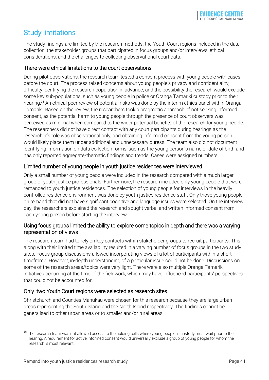## <span id="page-43-0"></span>Study limitations

The study findings are limited by the research methods, the Youth Court regions included in the data collection, the stakeholder groups that participated in focus groups and/or interviews, ethical considerations, and the challenges to collecting observational court data.

## There were ethical limitations to the court observations

During pilot observations, the research team tested a consent process with young people with cases before the court. The process raised concerns about young people's privacy and confidentiality, difficulty identifying the research population in advance, and the possibility the research would exclude some key sub-populations, such as young people in police or Oranga Tamariki custody prior to their hearing.<sup>35</sup> An ethical peer review of potential risks was done by the interim ethics panel within Oranga Tamariki. Based on the review, the researchers took a pragmatic approach of not seeking informed consent, as the potential harm to young people through the presence of court observers was perceived as minimal when compared to the wider potential benefits of the research for young people. The researchers did not have direct contact with any court participants during hearings as the researcher's role was observational only, and obtaining informed consent from the young person would likely place them under additional and unnecessary duress. The team also did not document identifying information on data collection forms, such as the young person's name or date of birth and has only reported aggregate/thematic findings and trends. Cases were assigned numbers.

## Limited number of young people in youth justice residences were interviewed

Only a small number of young people were included in the research compared with a much larger group of youth justice professionals. Furthermore, the research included only young people that were remanded to youth justice residences. The selection of young people for interviews in the heavily controlled residence environment was done by youth justice residence staff. Only those young people on remand that did not have significant cognitive and language issues were selected. On the interview day, the researchers explained the research and sought verbal and written informed consent from each young person before starting the interview.

## Using focus groups limited the ability to explore some topics in depth and there was a varying representation of views

The research team had to rely on key contacts within stakeholder groups to recruit participants. This along with their limited time availability resulted in a varying number of focus groups in the two study sites. Focus group discussions allowed incorporating views of a lot of participants within a short timeframe. However, in-depth understanding of a particular issue could not be done. Discussions on some of the research areas/topics were very light. There were also multiple Oranga Tamariki initiatives occurring at the time of the fieldwork, which may have influenced participants' perspectives that could not be accounted for.

## Only two Youth Court regions were selected as research sites

Christchurch and Counties Manukau were chosen for this research because they are large urban areas representing the South Island and the North Island respectively. The findings cannot be generalised to other urban areas or to smaller and/or rural areas.

<sup>&</sup>lt;sup>35</sup> The research team was not allowed access to the holding cells where young people in custody must wait prior to their hearing. A requirement for active informed consent would universally exclude a group of young people for whom the research is most relevant.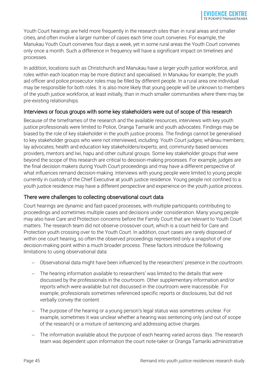Youth Court hearings are held more frequently in the research sites than in rural areas and smaller cities, and often involve a larger number of cases each time court convenes. For example, the Manukau Youth Court convenes four days a week, yet in some rural areas the Youth Court convenes only once a month. Such a difference in frequency will have a significant impact on timelines and processes.

In addition, locations such as Christchurch and Manukau have a larger youth justice workforce, and roles within each location may be more distinct and specialised. In Manukau for example, the youth aid officer and police prosecutor roles may be filled by different people. In a rural area one individual may be responsible for both roles. It is also more likely that young people will be unknown to members of the youth justice workforce, at least initially, than in much smaller communities where there may be pre-existing relationships.

### Interviews or focus groups with some key stakeholders were out of scope of this research

Because of the timeframes of the research and the available resources, interviews with key youth justice professionals were limited to Police, Oranga Tamariki and youth advocates. Findings may be biased by the role of key stakeholder in the youth justice process. The findings cannot be generalised to key stakeholder groups who were not interviewed, including: Youth Court judges; whānau members; lay advocates; health and education key stakeholders/experts; and, community-based services providers, mentors and Iwi, hapu and other cultural groups. Some key stakeholder groups that were beyond the scope of this research are critical to decision-making processes. For example, judges are the final decision makers during Youth Court proceedings and may have a different perspective of what influences remand decision-making. Interviews with young people were limited to young people currently in custody of the Chief Executive at youth justice residence. Young people not confined to a youth justice residence may have a different perspective and experience on the youth justice process.

## There were challenges to collecting observational court data

Court hearings are dynamic and fast-paced processes, with multiple participants contributing to proceedings and sometimes multiple cases and decisions under consideration. Many young people may also have Care and Protection concerns before the Family Court that are relevant to Youth Court matters. The research team did not observe crossover court, which is a court held for Care and Protection youth crossing over to the Youth Court. In addition, court cases are rarely disposed of within one court hearing, so often the observed proceedings represented only a snapshot of one decision-making point within a much broader process. These factors introduce the following limitations to using observational data:

- Observational data might have been influenced by the researchers' presence in the courtroom.
- The hearing information available to researchers' was limited to the details that were discussed by the professionals in the courtroom. Other supplementary information and/or reports which were available but not discussed in the courtroom were inaccessible. For example, professionals sometimes referenced specific reports or disclosures, but did not verbally convey the content.
- The purpose of the hearing or a young person's legal status was sometimes unclear. For example, sometimes it was unclear whether a hearing was sentencing only (and out of scope of the research) or a mixture of sentencing and addressing active charges.
- The information available about the purpose of each hearing varied across days. The research team was dependent upon information the court note-taker or Oranga Tamariki administrative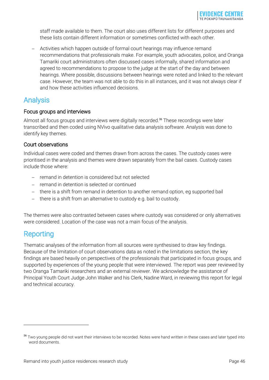staff made available to them. The court also uses different lists for different purposes and these lists contain different information or sometimes conflicted with each other.

 Activities which happen outside of formal court hearings may influence remand recommendations that professionals make. For example, youth advocates, police, and Oranga Tamariki court administrators often discussed cases informally, shared information and agreed to recommendations to propose to the judge at the start of the day and between hearings. Where possible, discussions between hearings were noted and linked to the relevant case. However, the team was not able to do this in all instances, and it was not always clear if and how these activities influenced decisions.

## <span id="page-45-0"></span>Analysis

## Focus groups and interviews

Almost all focus groups and interviews were digitally recorded.<sup>36</sup> These recordings were later transcribed and then coded using NVivo qualitative data analysis software. Analysis was done to identify key themes.

### Court observations

Individual cases were coded and themes drawn from across the cases. The custody cases were prioritised in the analysis and themes were drawn separately from the bail cases. Custody cases include those where:

- remand in detention is considered but not selected
- remand in detention is selected or continued
- there is a shift from remand in detention to another remand option, eg supported bail
- there is a shift from an alternative to custody e.g. bail to custody.

The themes were also contrasted between cases where custody was considered or only alternatives were considered. Location of the case was not a main focus of the analysis.

## <span id="page-45-1"></span>**Reporting**

<u>.</u>

Thematic analyses of the information from all sources were synthesised to draw key findings. Because of the limitation of court observations data as noted in the limitations section, the key findings are based heavily on perspectives of the professionals that participated in focus groups, and supported by experiences of the young people that were interviewed. The report was peer reviewed by two Oranga Tamariki researchers and an external reviewer. We acknowledge the assistance of Principal Youth Court Judge John Walker and his Clerk, Nadine Ward, in reviewing this report for legal and technical accuracy.

<sup>&</sup>lt;sup>36</sup> Two young people did not want their interviews to be recorded. Notes were hand written in these cases and later typed into word documents.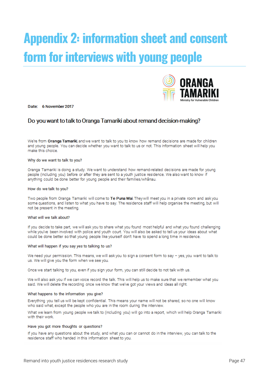# <span id="page-46-0"></span>**Appendix 2: information sheet and consent form for interviews with young people**



Date: 6 November 2017

## Do you want to talk to Oranga Tamariki about remand decision-making?

We're from Oranga Tamariki, and we want to talk to you to know how remand decisions are made for children and young people. You can decide whether you want to talk to us or not. This information sheet will help you make this choice.

#### Why do we want to talk to you?

Oranga Tamariki is doing a study. We want to understand how remand-related decisions are made for young people (including you) before or after they are sent to a youth justice residence. We also want to know if anything could be done better for young people and their families/whanau.

#### How do we talk to you?

Two people from Oranga Tamariki will come to Te Puna Wai. They will meet you in a private room and ask you some questions, and listen to what you have to say. The residence staff will help organise the meeting, but will not be present in the meeting.

#### What will we talk about?

If you decide to take part, we will ask you to share what you found most helpful and what you found challenging while you've been involved with police and youth court. You will also be asked to tell us your ideas about what could be done better so that young people like yourself don't have to spend a long time in residence.

#### What will happen if you say yes to talking to us?

We need your permission. This means, we will ask you to sign a consent form to say - yes, you want to talk to us. We will give you the form when we see you.

Once we start talking to you, even if you sign your form, you can still decide to not talk with us.

We will also ask you if we can voice record the talk. This will help us to make sure that we remember what you said. We will delete the recording once we know that we've got your views and ideas all right.

#### What happens to the information you give?

Everything you tell us will be kept confidential. This means your name will not be shared, so no one will know who said what, except the people who you are in the room during the interview.

What we learn from young people we talk to (including you) will go into a report, which will help Oranga Tamariki with their work.

#### Have you got more thoughts or questions?

If you have any questions about the study, and what you can or cannot do in the interview, you can talk to the residence staff who handed in this information sheet to you.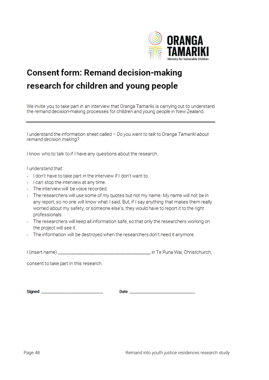

## **Consent form: Remand decision-making** research for children and young people

We invite you to take part in an interview that Oranga Tamariki is carrying out to understand the remand decision-making processes for children and young people in New Zealand.

I understand the information sheet called - Do you want to talk to Oranga Tamariki about remand decision making?

I know who to talk to if I have any questions about the research.

I understand that:

- I don't have to take part in the interview if I don't want to.
- I can stop the interview at any time.
- The interview will be voice recorded.
- The researchers will use some of my quotes but not my name. My name will not be in any report, so no one will know what I said. But, if I say anything that makes them really worried about my safety, or someone else's, they would have to report it to the right professionals.
- The researchers will keep all information safe, so that only the researchers working on the project will see it.
- The information will be destroyed when the researchers don't need it anymore.

I (insert name) \_\_\_\_\_\_\_\_\_\_\_\_\_\_\_\_\_\_\_\_\_\_\_\_\_\_\_\_\_\_\_\_\_\_ in Te Puna Wai, Christchurch,

consent to take part in this research.

Signed **Signed Signed Signed**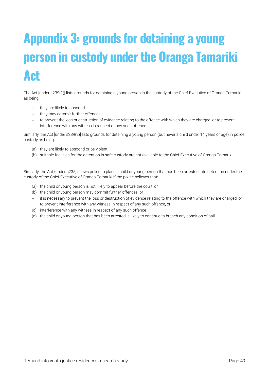# <span id="page-48-0"></span>**Appendix 3: grounds for detaining a young person in custody under the Oranga Tamariki Act**

The Act [under s239(1)] lists grounds for detaining a young person in the custody of the Chief Executive of Oranga Tamariki as being:

- they are likely to abscond
- they may commit further offences
- to prevent the loss or destruction of evidence relating to the offence with which they are charged, or to prevent interference with any witness in respect of any such offence.

Similarly, the Act [under s239(2)] lists grounds for detaining a young person (but never a child under 14 years of age) in police custody as being:

- (a) they are likely to abscond or be violent
- (b) suitable facilities for the detention in safe custody are not available to the Chief Executive of Oranga Tamariki.

Similarly, the Act {under s235] allows police to place a child or young person that has been arrested into detention under the custody of the Chief Executive of Oranga Tamariki if the police believes that:

- (a) the child or young person is not likely to appear before the court, or
- (b) the child or young person may commit further offences; or
- it is necessary to prevent the loss or destruction of evidence relating to the offence with which they are charged, or to prevent interference with any witness in respect of any such offence, or
- (c) interference with any witness in respect of any such offence
- (d) the child or young person that has been arrested is likely to continue to breach any condition of bail.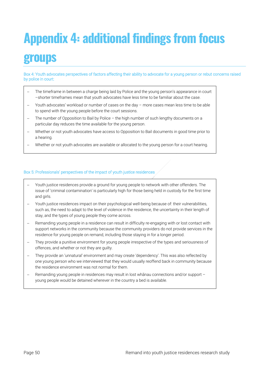# <span id="page-49-0"></span>**Appendix 4: additional findings from focus groups**

Box 4: Youth advocates perspectives of factors affecting their ability to advocate for a young person or rebut concerns raised by police in court:

- The timeframe in between a charge being laid by Police and the young person's appearance in court –shorter timeframes mean that youth advocates have less time to be familiar about the case.
- Youth advocates' workload or number of cases on the day more cases mean less time to be able to spend with the young people before the court sessions.
- The number of Opposition to Bail by Police the high number of such lengthy documents on a particular day reduces the time available for the young person.
- Whether or not youth advocates have access to Opposition to Bail documents in good time prior to a hearing.
- Whether or not youth advocates are available or allocated to the young person for a court hearing.

#### Box 5: Professionals' perspectives of the impact of youth justice residences

- Youth justice residences provide a ground for young people to network with other offenders. The issue of 'criminal contamination' is particularly high for those being held in custody for the first time and girls.
- Youth justice residences impact on their psychological well-being because of: their vulnerabilities, such as, the need to adapt to the level of violence in the residence, the uncertainty in their length of stay, and the types of young people they come across.
- Remanding young people in a residence can result in difficulty re-engaging with or lost contact with support networks in the community because the community providers do not provide services in the residence for young people on remand, including those staying in for a longer period.
- They provide a punitive environment for young people irrespective of the types and seriousness of offences, and whether or not they are guilty.
- They provide an 'unnatural' environment and may create 'dependency'. This was also reflected by one young person who we interviewed that they would usually reoffend back in community because the residence environment was not normal for them.
- Remanding young people in residences may result in lost whānau connections and/or support young people would be detained wherever in the country a bed is available.